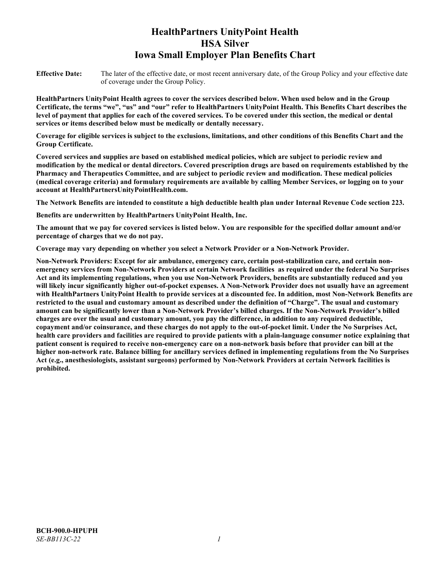# **HealthPartners UnityPoint Health HSA Silver Iowa Small Employer Plan Benefits Chart**

**Effective Date:** The later of the effective date, or most recent anniversary date, of the Group Policy and your effective date of coverage under the Group Policy.

**HealthPartners UnityPoint Health agrees to cover the services described below. When used below and in the Group Certificate, the terms "we", "us" and "our" refer to HealthPartners UnityPoint Health. This Benefits Chart describes the level of payment that applies for each of the covered services. To be covered under this section, the medical or dental services or items described below must be medically or dentally necessary.**

**Coverage for eligible services is subject to the exclusions, limitations, and other conditions of this Benefits Chart and the Group Certificate.** 

**Covered services and supplies are based on established medical policies, which are subject to periodic review and modification by the medical or dental directors. Covered prescription drugs are based on requirements established by the Pharmacy and Therapeutics Committee, and are subject to periodic review and modification. These medical policies (medical coverage criteria) and formulary requirements are available by calling Member Services, or logging on to your account at [HealthPartnersUnityPointHealth.com.](https://www.healthpartnersunitypointhealth.com/)**

**The Network Benefits are intended to constitute a high deductible health plan under Internal Revenue Code section 223.**

**Benefits are underwritten by HealthPartners UnityPoint Health, Inc.**

**The amount that we pay for covered services is listed below. You are responsible for the specified dollar amount and/or percentage of charges that we do not pay.**

**Coverage may vary depending on whether you select a Network Provider or a Non-Network Provider.**

**Non-Network Providers: Except for air ambulance, emergency care, certain post-stabilization care, and certain nonemergency services from Non-Network Providers at certain Network facilities as required under the federal No Surprises Act and its implementing regulations, when you use Non-Network Providers, benefits are substantially reduced and you will likely incur significantly higher out-of-pocket expenses. A Non-Network Provider does not usually have an agreement with HealthPartners UnityPoint Health to provide services at a discounted fee. In addition, most Non-Network Benefits are restricted to the usual and customary amount as described under the definition of "Charge". The usual and customary amount can be significantly lower than a Non-Network Provider's billed charges. If the Non-Network Provider's billed charges are over the usual and customary amount, you pay the difference, in addition to any required deductible, copayment and/or coinsurance, and these charges do not apply to the out-of-pocket limit. Under the No Surprises Act, health care providers and facilities are required to provide patients with a plain-language consumer notice explaining that patient consent is required to receive non-emergency care on a non-network basis before that provider can bill at the higher non-network rate. Balance billing for ancillary services defined in implementing regulations from the No Surprises Act (e.g., anesthesiologists, assistant surgeons) performed by Non-Network Providers at certain Network facilities is prohibited.**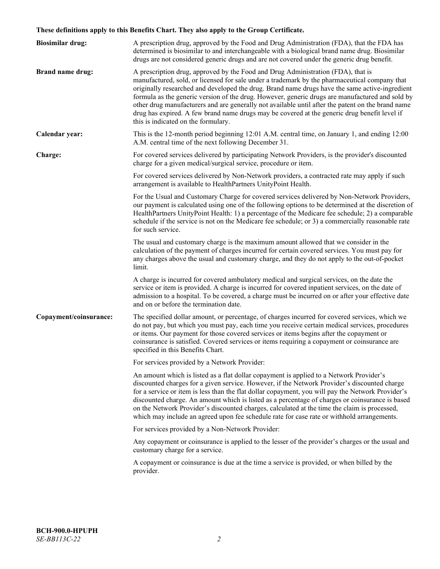# **These definitions apply to this Benefits Chart. They also apply to the Group Certificate.**

| <b>Biosimilar drug:</b> | A prescription drug, approved by the Food and Drug Administration (FDA), that the FDA has<br>determined is biosimilar to and interchangeable with a biological brand name drug. Biosimilar<br>drugs are not considered generic drugs and are not covered under the generic drug benefit.                                                                                                                                                                                                                                                                                                                                           |
|-------------------------|------------------------------------------------------------------------------------------------------------------------------------------------------------------------------------------------------------------------------------------------------------------------------------------------------------------------------------------------------------------------------------------------------------------------------------------------------------------------------------------------------------------------------------------------------------------------------------------------------------------------------------|
| <b>Brand name drug:</b> | A prescription drug, approved by the Food and Drug Administration (FDA), that is<br>manufactured, sold, or licensed for sale under a trademark by the pharmaceutical company that<br>originally researched and developed the drug. Brand name drugs have the same active-ingredient<br>formula as the generic version of the drug. However, generic drugs are manufactured and sold by<br>other drug manufacturers and are generally not available until after the patent on the brand name<br>drug has expired. A few brand name drugs may be covered at the generic drug benefit level if<br>this is indicated on the formulary. |
| Calendar year:          | This is the 12-month period beginning 12:01 A.M. central time, on January 1, and ending 12:00<br>A.M. central time of the next following December 31.                                                                                                                                                                                                                                                                                                                                                                                                                                                                              |
| Charge:                 | For covered services delivered by participating Network Providers, is the provider's discounted<br>charge for a given medical/surgical service, procedure or item.                                                                                                                                                                                                                                                                                                                                                                                                                                                                 |
|                         | For covered services delivered by Non-Network providers, a contracted rate may apply if such<br>arrangement is available to HealthPartners UnityPoint Health.                                                                                                                                                                                                                                                                                                                                                                                                                                                                      |
|                         | For the Usual and Customary Charge for covered services delivered by Non-Network Providers,<br>our payment is calculated using one of the following options to be determined at the discretion of<br>HealthPartners UnityPoint Health: 1) a percentage of the Medicare fee schedule; 2) a comparable<br>schedule if the service is not on the Medicare fee schedule; or 3) a commercially reasonable rate<br>for such service.                                                                                                                                                                                                     |
|                         | The usual and customary charge is the maximum amount allowed that we consider in the<br>calculation of the payment of charges incurred for certain covered services. You must pay for<br>any charges above the usual and customary charge, and they do not apply to the out-of-pocket<br>limit.                                                                                                                                                                                                                                                                                                                                    |
|                         | A charge is incurred for covered ambulatory medical and surgical services, on the date the<br>service or item is provided. A charge is incurred for covered inpatient services, on the date of<br>admission to a hospital. To be covered, a charge must be incurred on or after your effective date<br>and on or before the termination date.                                                                                                                                                                                                                                                                                      |
| Copayment/coinsurance:  | The specified dollar amount, or percentage, of charges incurred for covered services, which we<br>do not pay, but which you must pay, each time you receive certain medical services, procedures<br>or items. Our payment for those covered services or items begins after the copayment or<br>coinsurance is satisfied. Covered services or items requiring a copayment or coinsurance are<br>specified in this Benefits Chart.                                                                                                                                                                                                   |
|                         | For services provided by a Network Provider:                                                                                                                                                                                                                                                                                                                                                                                                                                                                                                                                                                                       |
|                         | An amount which is listed as a flat dollar copayment is applied to a Network Provider's<br>discounted charges for a given service. However, if the Network Provider's discounted charge<br>for a service or item is less than the flat dollar copayment, you will pay the Network Provider's<br>discounted charge. An amount which is listed as a percentage of charges or coinsurance is based<br>on the Network Provider's discounted charges, calculated at the time the claim is processed,<br>which may include an agreed upon fee schedule rate for case rate or withhold arrangements.                                      |
|                         | For services provided by a Non-Network Provider:                                                                                                                                                                                                                                                                                                                                                                                                                                                                                                                                                                                   |
|                         | Any copayment or coinsurance is applied to the lesser of the provider's charges or the usual and<br>customary charge for a service.                                                                                                                                                                                                                                                                                                                                                                                                                                                                                                |
|                         | A copayment or coinsurance is due at the time a service is provided, or when billed by the<br>provider.                                                                                                                                                                                                                                                                                                                                                                                                                                                                                                                            |
|                         |                                                                                                                                                                                                                                                                                                                                                                                                                                                                                                                                                                                                                                    |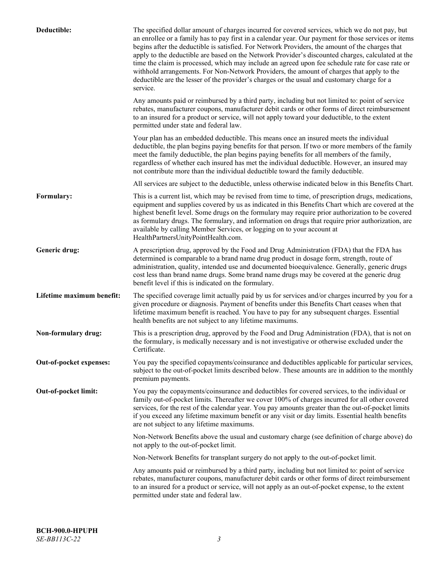| Deductible:               | The specified dollar amount of charges incurred for covered services, which we do not pay, but<br>an enrollee or a family has to pay first in a calendar year. Our payment for those services or items<br>begins after the deductible is satisfied. For Network Providers, the amount of the charges that<br>apply to the deductible are based on the Network Provider's discounted charges, calculated at the<br>time the claim is processed, which may include an agreed upon fee schedule rate for case rate or<br>withhold arrangements. For Non-Network Providers, the amount of charges that apply to the<br>deductible are the lesser of the provider's charges or the usual and customary charge for a<br>service. |
|---------------------------|----------------------------------------------------------------------------------------------------------------------------------------------------------------------------------------------------------------------------------------------------------------------------------------------------------------------------------------------------------------------------------------------------------------------------------------------------------------------------------------------------------------------------------------------------------------------------------------------------------------------------------------------------------------------------------------------------------------------------|
|                           | Any amounts paid or reimbursed by a third party, including but not limited to: point of service<br>rebates, manufacturer coupons, manufacturer debit cards or other forms of direct reimbursement<br>to an insured for a product or service, will not apply toward your deductible, to the extent<br>permitted under state and federal law.                                                                                                                                                                                                                                                                                                                                                                                |
|                           | Your plan has an embedded deductible. This means once an insured meets the individual<br>deductible, the plan begins paying benefits for that person. If two or more members of the family<br>meet the family deductible, the plan begins paying benefits for all members of the family,<br>regardless of whether each insured has met the individual deductible. However, an insured may<br>not contribute more than the individual deductible toward the family deductible.                                                                                                                                                                                                                                              |
|                           | All services are subject to the deductible, unless otherwise indicated below in this Benefits Chart.                                                                                                                                                                                                                                                                                                                                                                                                                                                                                                                                                                                                                       |
| Formulary:                | This is a current list, which may be revised from time to time, of prescription drugs, medications,<br>equipment and supplies covered by us as indicated in this Benefits Chart which are covered at the<br>highest benefit level. Some drugs on the formulary may require prior authorization to be covered<br>as formulary drugs. The formulary, and information on drugs that require prior authorization, are<br>available by calling Member Services, or logging on to your account at<br>HealthPartnersUnityPointHealth.com.                                                                                                                                                                                         |
| Generic drug:             | A prescription drug, approved by the Food and Drug Administration (FDA) that the FDA has<br>determined is comparable to a brand name drug product in dosage form, strength, route of<br>administration, quality, intended use and documented bioequivalence. Generally, generic drugs<br>cost less than brand name drugs. Some brand name drugs may be covered at the generic drug<br>benefit level if this is indicated on the formulary.                                                                                                                                                                                                                                                                                 |
| Lifetime maximum benefit: | The specified coverage limit actually paid by us for services and/or charges incurred by you for a<br>given procedure or diagnosis. Payment of benefits under this Benefits Chart ceases when that<br>lifetime maximum benefit is reached. You have to pay for any subsequent charges. Essential<br>health benefits are not subject to any lifetime maximums.                                                                                                                                                                                                                                                                                                                                                              |
| Non-formulary drug:       | This is a prescription drug, approved by the Food and Drug Administration (FDA), that is not on<br>the formulary, is medically necessary and is not investigative or otherwise excluded under the<br>Certificate.                                                                                                                                                                                                                                                                                                                                                                                                                                                                                                          |
| Out-of-pocket expenses:   | You pay the specified copayments/coinsurance and deductibles applicable for particular services,<br>subject to the out-of-pocket limits described below. These amounts are in addition to the monthly<br>premium payments.                                                                                                                                                                                                                                                                                                                                                                                                                                                                                                 |
| Out-of-pocket limit:      | You pay the copayments/coinsurance and deductibles for covered services, to the individual or<br>family out-of-pocket limits. Thereafter we cover 100% of charges incurred for all other covered<br>services, for the rest of the calendar year. You pay amounts greater than the out-of-pocket limits<br>if you exceed any lifetime maximum benefit or any visit or day limits. Essential health benefits<br>are not subject to any lifetime maximums.                                                                                                                                                                                                                                                                    |
|                           | Non-Network Benefits above the usual and customary charge (see definition of charge above) do<br>not apply to the out-of-pocket limit.                                                                                                                                                                                                                                                                                                                                                                                                                                                                                                                                                                                     |
|                           | Non-Network Benefits for transplant surgery do not apply to the out-of-pocket limit.                                                                                                                                                                                                                                                                                                                                                                                                                                                                                                                                                                                                                                       |
|                           | Any amounts paid or reimbursed by a third party, including but not limited to: point of service<br>rebates, manufacturer coupons, manufacturer debit cards or other forms of direct reimbursement<br>to an insured for a product or service, will not apply as an out-of-pocket expense, to the extent<br>permitted under state and federal law.                                                                                                                                                                                                                                                                                                                                                                           |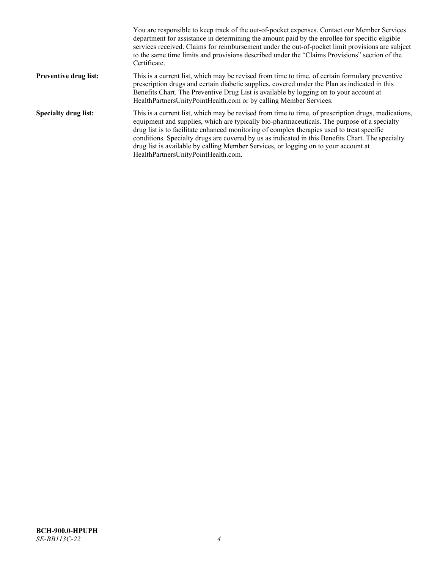|                              | You are responsible to keep track of the out-of-pocket expenses. Contact our Member Services<br>department for assistance in determining the amount paid by the enrollee for specific eligible<br>services received. Claims for reimbursement under the out-of-pocket limit provisions are subject<br>to the same time limits and provisions described under the "Claims Provisions" section of the<br>Certificate.                                                                                                                |
|------------------------------|------------------------------------------------------------------------------------------------------------------------------------------------------------------------------------------------------------------------------------------------------------------------------------------------------------------------------------------------------------------------------------------------------------------------------------------------------------------------------------------------------------------------------------|
| <b>Preventive drug list:</b> | This is a current list, which may be revised from time to time, of certain formulary preventive<br>prescription drugs and certain diabetic supplies, covered under the Plan as indicated in this<br>Benefits Chart. The Preventive Drug List is available by logging on to your account at<br>HealthPartnersUnityPointHealth.com or by calling Member Services.                                                                                                                                                                    |
| <b>Specialty drug list:</b>  | This is a current list, which may be revised from time to time, of prescription drugs, medications,<br>equipment and supplies, which are typically bio-pharmaceuticals. The purpose of a specialty<br>drug list is to facilitate enhanced monitoring of complex therapies used to treat specific<br>conditions. Specialty drugs are covered by us as indicated in this Benefits Chart. The specialty<br>drug list is available by calling Member Services, or logging on to your account at<br>HealthPartnersUnityPointHealth.com. |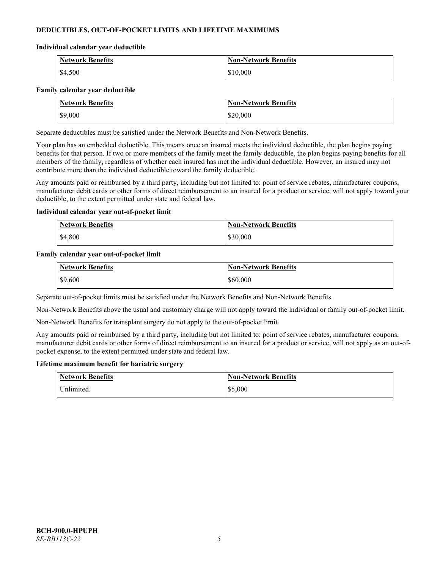# **DEDUCTIBLES, OUT-OF-POCKET LIMITS AND LIFETIME MAXIMUMS**

#### **Individual calendar year deductible**

| <b>Network Benefits</b> | <b>Non-Network Benefits</b> |
|-------------------------|-----------------------------|
| \$4,500                 | \$10,000                    |

#### **Family calendar year deductible**

| <b>Network Benefits</b> | <b>Non-Network Benefits</b> |
|-------------------------|-----------------------------|
| \$9,000                 | \$20,000                    |

Separate deductibles must be satisfied under the Network Benefits and Non-Network Benefits.

Your plan has an embedded deductible. This means once an insured meets the individual deductible, the plan begins paying benefits for that person. If two or more members of the family meet the family deductible, the plan begins paying benefits for all members of the family, regardless of whether each insured has met the individual deductible. However, an insured may not contribute more than the individual deductible toward the family deductible.

Any amounts paid or reimbursed by a third party, including but not limited to: point of service rebates, manufacturer coupons, manufacturer debit cards or other forms of direct reimbursement to an insured for a product or service, will not apply toward your deductible, to the extent permitted under state and federal law.

#### **Individual calendar year out-of-pocket limit**

| <b>Network Benefits</b> | <b>Non-Network Benefits</b> |
|-------------------------|-----------------------------|
| \$4,800                 | \$30,000                    |

#### **Family calendar year out-of-pocket limit**

| <b>Network Benefits</b> | <b>Non-Network Benefits</b> |
|-------------------------|-----------------------------|
| \$9,600                 | \$60,000                    |

Separate out-of-pocket limits must be satisfied under the Network Benefits and Non-Network Benefits.

Non-Network Benefits above the usual and customary charge will not apply toward the individual or family out-of-pocket limit.

Non-Network Benefits for transplant surgery do not apply to the out-of-pocket limit.

Any amounts paid or reimbursed by a third party, including but not limited to: point of service rebates, manufacturer coupons, manufacturer debit cards or other forms of direct reimbursement to an insured for a product or service, will not apply as an out-ofpocket expense, to the extent permitted under state and federal law.

#### **Lifetime maximum benefit for bariatric surgery**

| <b>Network Benefits</b> | <b>Non-Network Benefits</b> |
|-------------------------|-----------------------------|
| <sup>I</sup> Inlimited. | \$5,000                     |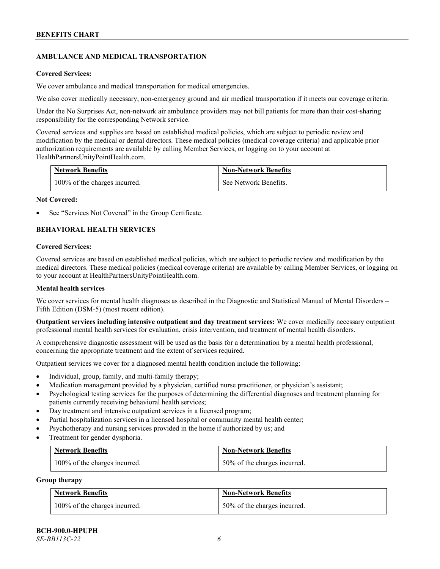# **AMBULANCE AND MEDICAL TRANSPORTATION**

#### **Covered Services:**

We cover ambulance and medical transportation for medical emergencies.

We also cover medically necessary, non-emergency ground and air medical transportation if it meets our coverage criteria.

Under the No Surprises Act, non-network air ambulance providers may not bill patients for more than their cost-sharing responsibility for the corresponding Network service.

Covered services and supplies are based on established medical policies, which are subject to periodic review and modification by the medical or dental directors. These medical policies (medical coverage criteria) and applicable prior authorization requirements are available by calling Member Services, or logging on to your account at [HealthPartnersUnityPointHealth.com.](https://www.healthpartnersunitypointhealth.com/)

| <b>Network Benefits</b>       | <b>Non-Network Benefits</b> |
|-------------------------------|-----------------------------|
| 100% of the charges incurred. | See Network Benefits.       |

#### **Not Covered:**

See "Services Not Covered" in the Group Certificate.

# **BEHAVIORAL HEALTH SERVICES**

#### **Covered Services:**

Covered services are based on established medical policies, which are subject to periodic review and modification by the medical directors. These medical policies (medical coverage criteria) are available by calling Member Services, or logging on to your account at [HealthPartnersUnityPointHealth.com.](https://www.healthpartnersunitypointhealth.com/)

### **Mental health services**

We cover services for mental health diagnoses as described in the Diagnostic and Statistical Manual of Mental Disorders – Fifth Edition (DSM-5) (most recent edition).

**Outpatient services including intensive outpatient and day treatment services:** We cover medically necessary outpatient professional mental health services for evaluation, crisis intervention, and treatment of mental health disorders.

A comprehensive diagnostic assessment will be used as the basis for a determination by a mental health professional, concerning the appropriate treatment and the extent of services required.

Outpatient services we cover for a diagnosed mental health condition include the following:

- Individual, group, family, and multi-family therapy;
- Medication management provided by a physician, certified nurse practitioner, or physician's assistant;
- Psychological testing services for the purposes of determining the differential diagnoses and treatment planning for patients currently receiving behavioral health services;
- Day treatment and intensive outpatient services in a licensed program;
- Partial hospitalization services in a licensed hospital or community mental health center;
- Psychotherapy and nursing services provided in the home if authorized by us; and
- Treatment for gender dysphoria.

| <b>Network Benefits</b>       | <b>Non-Network Benefits</b>  |
|-------------------------------|------------------------------|
| 100% of the charges incurred. | 50% of the charges incurred. |

#### **Group therapy**

| <b>Network Benefits</b>       | <b>Non-Network Benefits</b>  |
|-------------------------------|------------------------------|
| 100% of the charges incurred. | 50% of the charges incurred. |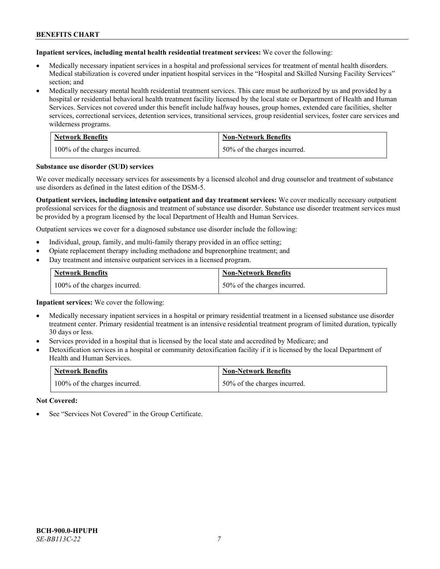**Inpatient services, including mental health residential treatment services:** We cover the following:

- Medically necessary inpatient services in a hospital and professional services for treatment of mental health disorders. Medical stabilization is covered under inpatient hospital services in the "Hospital and Skilled Nursing Facility Services" section; and
- Medically necessary mental health residential treatment services. This care must be authorized by us and provided by a hospital or residential behavioral health treatment facility licensed by the local state or Department of Health and Human Services. Services not covered under this benefit include halfway houses, group homes, extended care facilities, shelter services, correctional services, detention services, transitional services, group residential services, foster care services and wilderness programs.

| <b>Network Benefits</b>       | <b>Non-Network Benefits</b>  |
|-------------------------------|------------------------------|
| 100% of the charges incurred. | 50% of the charges incurred. |

#### **Substance use disorder (SUD) services**

We cover medically necessary services for assessments by a licensed alcohol and drug counselor and treatment of substance use disorders as defined in the latest edition of the DSM-5.

**Outpatient services, including intensive outpatient and day treatment services:** We cover medically necessary outpatient professional services for the diagnosis and treatment of substance use disorder. Substance use disorder treatment services must be provided by a program licensed by the local Department of Health and Human Services.

Outpatient services we cover for a diagnosed substance use disorder include the following:

- Individual, group, family, and multi-family therapy provided in an office setting;
- Opiate replacement therapy including methadone and buprenorphine treatment; and
- Day treatment and intensive outpatient services in a licensed program.

| <b>Network Benefits</b>       | <b>Non-Network Benefits</b>  |
|-------------------------------|------------------------------|
| 100% of the charges incurred. | 50% of the charges incurred. |

**Inpatient services:** We cover the following:

- Medically necessary inpatient services in a hospital or primary residential treatment in a licensed substance use disorder treatment center. Primary residential treatment is an intensive residential treatment program of limited duration, typically 30 days or less.
- Services provided in a hospital that is licensed by the local state and accredited by Medicare; and
- Detoxification services in a hospital or community detoxification facility if it is licensed by the local Department of Health and Human Services.

| <b>Network Benefits</b>       | <b>Non-Network Benefits</b>  |
|-------------------------------|------------------------------|
| 100% of the charges incurred. | 50% of the charges incurred. |

**Not Covered:**

See "Services Not Covered" in the Group Certificate.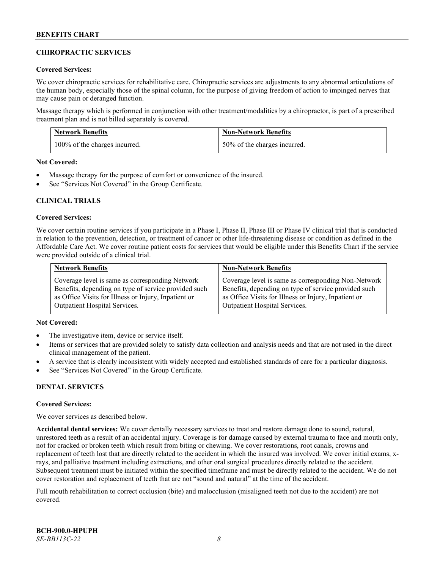# **CHIROPRACTIC SERVICES**

### **Covered Services:**

We cover chiropractic services for rehabilitative care. Chiropractic services are adjustments to any abnormal articulations of the human body, especially those of the spinal column, for the purpose of giving freedom of action to impinged nerves that may cause pain or deranged function.

Massage therapy which is performed in conjunction with other treatment/modalities by a chiropractor, is part of a prescribed treatment plan and is not billed separately is covered.

| <b>Network Benefits</b>       | <b>Non-Network Benefits</b>  |
|-------------------------------|------------------------------|
| 100% of the charges incurred. | 50% of the charges incurred. |

**Not Covered:**

- Massage therapy for the purpose of comfort or convenience of the insured.
- See "Services Not Covered" in the Group Certificate.

# **CLINICAL TRIALS**

#### **Covered Services:**

We cover certain routine services if you participate in a Phase I, Phase II, Phase III or Phase IV clinical trial that is conducted in relation to the prevention, detection, or treatment of cancer or other life-threatening disease or condition as defined in the Affordable Care Act. We cover routine patient costs for services that would be eligible under this Benefits Chart if the service were provided outside of a clinical trial.

| <b>Network Benefits</b>                              | <b>Non-Network Benefits</b>                          |
|------------------------------------------------------|------------------------------------------------------|
| Coverage level is same as corresponding Network      | Coverage level is same as corresponding Non-Network  |
| Benefits, depending on type of service provided such | Benefits, depending on type of service provided such |
| as Office Visits for Illness or Injury, Inpatient or | as Office Visits for Illness or Injury, Inpatient or |
| <b>Outpatient Hospital Services.</b>                 | <b>Outpatient Hospital Services.</b>                 |

# **Not Covered:**

- The investigative item, device or service itself.
- Items or services that are provided solely to satisfy data collection and analysis needs and that are not used in the direct clinical management of the patient.
- A service that is clearly inconsistent with widely accepted and established standards of care for a particular diagnosis.
- See "Services Not Covered" in the Group Certificate.

# **DENTAL SERVICES**

#### **Covered Services:**

We cover services as described below.

**Accidental dental services:** We cover dentally necessary services to treat and restore damage done to sound, natural, unrestored teeth as a result of an accidental injury. Coverage is for damage caused by external trauma to face and mouth only, not for cracked or broken teeth which result from biting or chewing. We cover restorations, root canals, crowns and replacement of teeth lost that are directly related to the accident in which the insured was involved. We cover initial exams, xrays, and palliative treatment including extractions, and other oral surgical procedures directly related to the accident. Subsequent treatment must be initiated within the specified timeframe and must be directly related to the accident. We do not cover restoration and replacement of teeth that are not "sound and natural" at the time of the accident.

Full mouth rehabilitation to correct occlusion (bite) and malocclusion (misaligned teeth not due to the accident) are not covered.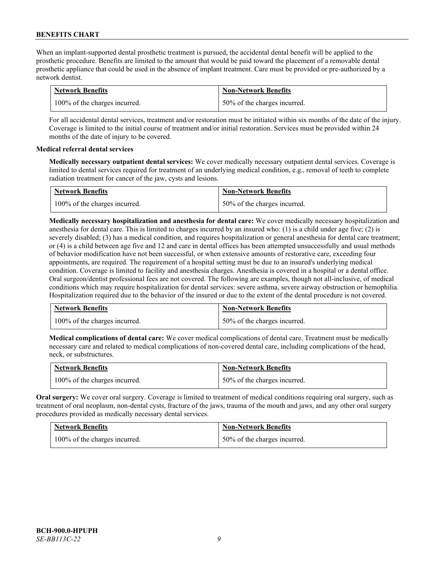When an implant-supported dental prosthetic treatment is pursued, the accidental dental benefit will be applied to the prosthetic procedure. Benefits are limited to the amount that would be paid toward the placement of a removable dental prosthetic appliance that could be used in the absence of implant treatment. Care must be provided or pre-authorized by a network dentist.

| <b>Network Benefits</b>       | <b>Non-Network Benefits</b>  |
|-------------------------------|------------------------------|
| 100% of the charges incurred. | 50% of the charges incurred. |

For all accidental dental services, treatment and/or restoration must be initiated within six months of the date of the injury. Coverage is limited to the initial course of treatment and/or initial restoration. Services must be provided within 24 months of the date of injury to be covered.

# **Medical referral dental services**

**Medically necessary outpatient dental services:** We cover medically necessary outpatient dental services. Coverage is limited to dental services required for treatment of an underlying medical condition, e.g., removal of teeth to complete radiation treatment for cancer of the jaw, cysts and lesions.

| <b>Network Benefits</b>       | <b>Non-Network Benefits</b>  |
|-------------------------------|------------------------------|
| 100% of the charges incurred. | 50% of the charges incurred. |

**Medically necessary hospitalization and anesthesia for dental care:** We cover medically necessary hospitalization and anesthesia for dental care. This is limited to charges incurred by an insured who: (1) is a child under age five; (2) is severely disabled; (3) has a medical condition, and requires hospitalization or general anesthesia for dental care treatment; or (4) is a child between age five and 12 and care in dental offices has been attempted unsuccessfully and usual methods of behavior modification have not been successful, or when extensive amounts of restorative care, exceeding four appointments, are required. The requirement of a hospital setting must be due to an insured's underlying medical condition. Coverage is limited to facility and anesthesia charges. Anesthesia is covered in a hospital or a dental office. Oral surgeon/dentist professional fees are not covered. The following are examples, though not all-inclusive, of medical conditions which may require hospitalization for dental services: severe asthma, severe airway obstruction or hemophilia. Hospitalization required due to the behavior of the insured or due to the extent of the dental procedure is not covered.

| <b>Network Benefits</b>       | <b>Non-Network Benefits</b>  |
|-------------------------------|------------------------------|
| 100% of the charges incurred. | 50% of the charges incurred. |

**Medical complications of dental care:** We cover medical complications of dental care. Treatment must be medically necessary care and related to medical complications of non-covered dental care, including complications of the head, neck, or substructures.

| <b>Network Benefits</b>       | <b>Non-Network Benefits</b>  |
|-------------------------------|------------------------------|
| 100% of the charges incurred. | 50% of the charges incurred. |

**Oral surgery:** We cover oral surgery. Coverage is limited to treatment of medical conditions requiring oral surgery, such as treatment of oral neoplasm, non-dental cysts, fracture of the jaws, trauma of the mouth and jaws, and any other oral surgery procedures provided as medically necessary dental services.

| <b>Network Benefits</b>       | <b>Non-Network Benefits</b>  |
|-------------------------------|------------------------------|
| 100% of the charges incurred. | 50% of the charges incurred. |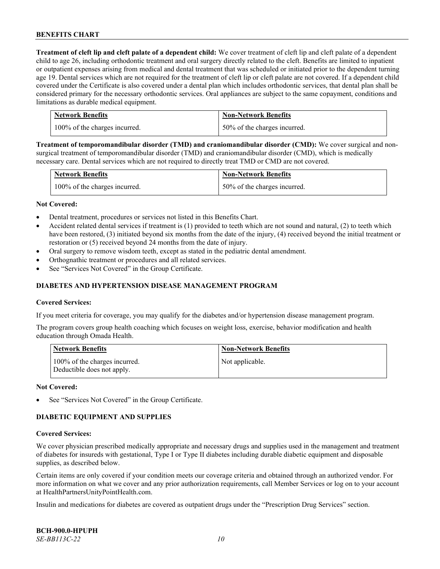**Treatment of cleft lip and cleft palate of a dependent child:** We cover treatment of cleft lip and cleft palate of a dependent child to age 26, including orthodontic treatment and oral surgery directly related to the cleft. Benefits are limited to inpatient or outpatient expenses arising from medical and dental treatment that was scheduled or initiated prior to the dependent turning age 19. Dental services which are not required for the treatment of cleft lip or cleft palate are not covered. If a dependent child covered under the Certificate is also covered under a dental plan which includes orthodontic services, that dental plan shall be considered primary for the necessary orthodontic services. Oral appliances are subject to the same copayment, conditions and limitations as durable medical equipment.

| <b>Network Benefits</b>       | <b>Non-Network Benefits</b>  |
|-------------------------------|------------------------------|
| 100% of the charges incurred. | 50% of the charges incurred. |

**Treatment of temporomandibular disorder (TMD) and craniomandibular disorder (CMD):** We cover surgical and nonsurgical treatment of temporomandibular disorder (TMD) and craniomandibular disorder (CMD), which is medically necessary care. Dental services which are not required to directly treat TMD or CMD are not covered.

| <b>Network Benefits</b>       | <b>Non-Network Benefits</b>  |
|-------------------------------|------------------------------|
| 100% of the charges incurred. | 50% of the charges incurred. |

#### **Not Covered:**

- Dental treatment, procedures or services not listed in this Benefits Chart.
- Accident related dental services if treatment is (1) provided to teeth which are not sound and natural, (2) to teeth which have been restored, (3) initiated beyond six months from the date of the injury, (4) received beyond the initial treatment or restoration or (5) received beyond 24 months from the date of injury.
- Oral surgery to remove wisdom teeth, except as stated in the pediatric dental amendment.
- Orthognathic treatment or procedures and all related services.
- See "Services Not Covered" in the Group Certificate.

### **DIABETES AND HYPERTENSION DISEASE MANAGEMENT PROGRAM**

#### **Covered Services:**

If you meet criteria for coverage, you may qualify for the diabetes and/or hypertension disease management program.

The program covers group health coaching which focuses on weight loss, exercise, behavior modification and health education through Omada Health.

| <b>Network Benefits</b>                                     | <b>Non-Network Benefits</b> |
|-------------------------------------------------------------|-----------------------------|
| 100% of the charges incurred.<br>Deductible does not apply. | Not applicable.             |

#### **Not Covered:**

See "Services Not Covered" in the Group Certificate.

# **DIABETIC EQUIPMENT AND SUPPLIES**

#### **Covered Services:**

We cover physician prescribed medically appropriate and necessary drugs and supplies used in the management and treatment of diabetes for insureds with gestational, Type I or Type II diabetes including durable diabetic equipment and disposable supplies, as described below.

Certain items are only covered if your condition meets our coverage criteria and obtained through an authorized vendor. For more information on what we cover and any prior authorization requirements, call Member Services or log on to your account at [HealthPartnersUnityPointHealth.com.](https://www.healthpartnersunitypointhealth.com/)

Insulin and medications for diabetes are covered as outpatient drugs under the "Prescription Drug Services" section.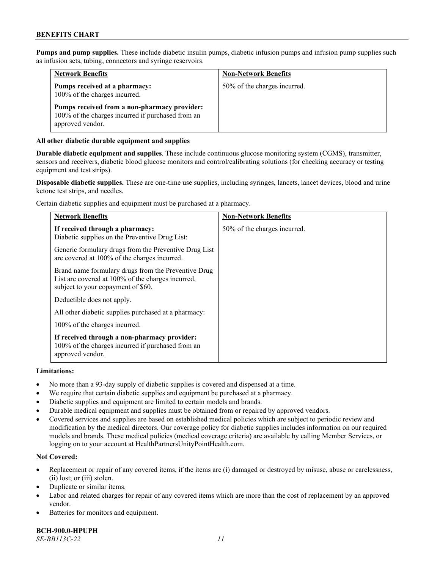**Pumps and pump supplies.** These include diabetic insulin pumps, diabetic infusion pumps and infusion pump supplies such as infusion sets, tubing, connectors and syringe reservoirs.

| <b>Network Benefits</b>                                                                                               | <b>Non-Network Benefits</b>  |
|-----------------------------------------------------------------------------------------------------------------------|------------------------------|
| Pumps received at a pharmacy:<br>100% of the charges incurred.                                                        | 50% of the charges incurred. |
| Pumps received from a non-pharmacy provider:<br>100% of the charges incurred if purchased from an<br>approved vendor. |                              |

# **All other diabetic durable equipment and supplies**

**Durable diabetic equipment and supplies**. These include continuous glucose monitoring system (CGMS), transmitter, sensors and receivers, diabetic blood glucose monitors and control/calibrating solutions (for checking accuracy or testing equipment and test strips).

**Disposable diabetic supplies.** These are one-time use supplies, including syringes, lancets, lancet devices, blood and urine ketone test strips, and needles.

Certain diabetic supplies and equipment must be purchased at a pharmacy.

| <b>Network Benefits</b>                                                                                                                        | <b>Non-Network Benefits</b>  |
|------------------------------------------------------------------------------------------------------------------------------------------------|------------------------------|
| If received through a pharmacy:<br>Diabetic supplies on the Preventive Drug List:                                                              | 50% of the charges incurred. |
| Generic formulary drugs from the Preventive Drug List<br>are covered at 100% of the charges incurred.                                          |                              |
| Brand name formulary drugs from the Preventive Drug<br>List are covered at 100% of the charges incurred,<br>subject to your copayment of \$60. |                              |
| Deductible does not apply.                                                                                                                     |                              |
| All other diabetic supplies purchased at a pharmacy:                                                                                           |                              |
| 100% of the charges incurred.                                                                                                                  |                              |
| If received through a non-pharmacy provider:<br>100% of the charges incurred if purchased from an<br>approved vendor.                          |                              |

#### **Limitations:**

- No more than a 93-day supply of diabetic supplies is covered and dispensed at a time.
- We require that certain diabetic supplies and equipment be purchased at a pharmacy.
- Diabetic supplies and equipment are limited to certain models and brands.
- Durable medical equipment and supplies must be obtained from or repaired by approved vendors.
- Covered services and supplies are based on established medical policies which are subject to periodic review and modification by the medical directors. Our coverage policy for diabetic supplies includes information on our required models and brands. These medical policies (medical coverage criteria) are available by calling Member Services, or logging on to your account a[t HealthPartnersUnityPointHealth.com.](https://www.healthpartnersunitypointhealth.com/)

# **Not Covered:**

- Replacement or repair of any covered items, if the items are (i) damaged or destroyed by misuse, abuse or carelessness, (ii) lost; or (iii) stolen.
- Duplicate or similar items.
- Labor and related charges for repair of any covered items which are more than the cost of replacement by an approved vendor.
- Batteries for monitors and equipment.

**BCH-900.0-HPUPH** *SE-BB113C-22 11*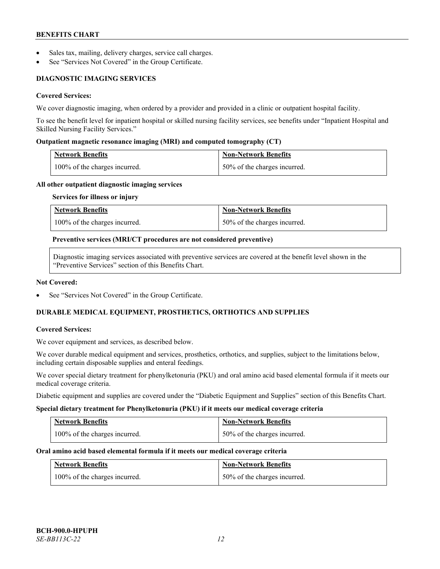- Sales tax, mailing, delivery charges, service call charges.
- See "Services Not Covered" in the Group Certificate.

# **DIAGNOSTIC IMAGING SERVICES**

# **Covered Services:**

We cover diagnostic imaging, when ordered by a provider and provided in a clinic or outpatient hospital facility.

To see the benefit level for inpatient hospital or skilled nursing facility services, see benefits under "Inpatient Hospital and Skilled Nursing Facility Services."

### **Outpatient magnetic resonance imaging (MRI) and computed tomography (CT)**

| Network Benefits                           | Non-Network Benefits         |
|--------------------------------------------|------------------------------|
| $\frac{100\%}{6}$ of the charges incurred. | 50% of the charges incurred. |

#### **All other outpatient diagnostic imaging services**

#### **Services for illness or injury**

| <b>Network Benefits</b>       | <b>Non-Network Benefits</b>  |
|-------------------------------|------------------------------|
| 100% of the charges incurred. | 50% of the charges incurred. |

#### **Preventive services (MRI/CT procedures are not considered preventive)**

Diagnostic imaging services associated with preventive services are covered at the benefit level shown in the "Preventive Services" section of this Benefits Chart.

#### **Not Covered:**

See "Services Not Covered" in the Group Certificate.

# **DURABLE MEDICAL EQUIPMENT, PROSTHETICS, ORTHOTICS AND SUPPLIES**

#### **Covered Services:**

We cover equipment and services, as described below.

We cover durable medical equipment and services, prosthetics, orthotics, and supplies, subject to the limitations below, including certain disposable supplies and enteral feedings.

We cover special dietary treatment for phenylketonuria (PKU) and oral amino acid based elemental formula if it meets our medical coverage criteria.

Diabetic equipment and supplies are covered under the "Diabetic Equipment and Supplies" section of this Benefits Chart.

#### **Special dietary treatment for Phenylketonuria (PKU) if it meets our medical coverage criteria**

| <b>Network Benefits</b>       | Non-Network Benefits           |
|-------------------------------|--------------------------------|
| 100% of the charges incurred. | 1 50% of the charges incurred. |

#### **Oral amino acid based elemental formula if it meets our medical coverage criteria**

| <b>Network Benefits</b>       | Non-Network Benefits         |
|-------------------------------|------------------------------|
| 100% of the charges incurred. | 50% of the charges incurred. |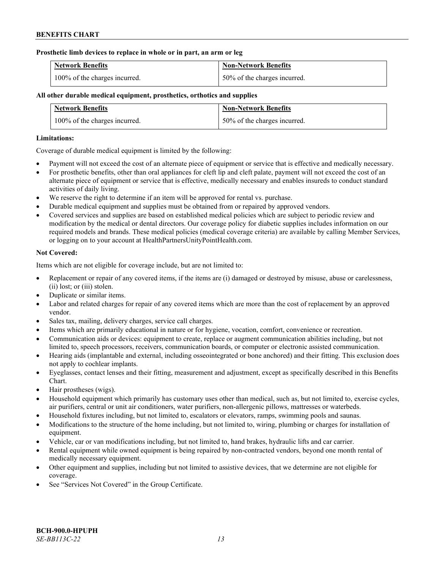### **Prosthetic limb devices to replace in whole or in part, an arm or leg**

| <b>Network Benefits</b>       | <b>Non-Network Benefits</b>  |
|-------------------------------|------------------------------|
| 100% of the charges incurred. | 50% of the charges incurred. |

# **All other durable medical equipment, prosthetics, orthotics and supplies**

| <b>Network Benefits</b>       | <b>Non-Network Benefits</b>  |
|-------------------------------|------------------------------|
| 100% of the charges incurred. | 50% of the charges incurred. |

### **Limitations:**

Coverage of durable medical equipment is limited by the following:

- Payment will not exceed the cost of an alternate piece of equipment or service that is effective and medically necessary.
- For prosthetic benefits, other than oral appliances for cleft lip and cleft palate, payment will not exceed the cost of an alternate piece of equipment or service that is effective, medically necessary and enables insureds to conduct standard activities of daily living.
- We reserve the right to determine if an item will be approved for rental vs. purchase.
- Durable medical equipment and supplies must be obtained from or repaired by approved vendors.
- Covered services and supplies are based on established medical policies which are subject to periodic review and modification by the medical or dental directors. Our coverage policy for diabetic supplies includes information on our required models and brands. These medical policies (medical coverage criteria) are available by calling Member Services, or logging on to your account at [HealthPartnersUnityPointHealth.com.](https://www.healthpartnersunitypointhealth.com/)

# **Not Covered:**

Items which are not eligible for coverage include, but are not limited to:

- Replacement or repair of any covered items, if the items are (i) damaged or destroyed by misuse, abuse or carelessness, (ii) lost; or (iii) stolen.
- Duplicate or similar items.
- Labor and related charges for repair of any covered items which are more than the cost of replacement by an approved vendor.
- Sales tax, mailing, delivery charges, service call charges.
- Items which are primarily educational in nature or for hygiene, vocation, comfort, convenience or recreation.
- Communication aids or devices: equipment to create, replace or augment communication abilities including, but not limited to, speech processors, receivers, communication boards, or computer or electronic assisted communication.
- Hearing aids (implantable and external, including osseointegrated or bone anchored) and their fitting. This exclusion does not apply to cochlear implants.
- Eyeglasses, contact lenses and their fitting, measurement and adjustment, except as specifically described in this Benefits Chart.
- Hair prostheses (wigs).
- Household equipment which primarily has customary uses other than medical, such as, but not limited to, exercise cycles, air purifiers, central or unit air conditioners, water purifiers, non-allergenic pillows, mattresses or waterbeds.
- Household fixtures including, but not limited to, escalators or elevators, ramps, swimming pools and saunas.
- Modifications to the structure of the home including, but not limited to, wiring, plumbing or charges for installation of equipment.
- Vehicle, car or van modifications including, but not limited to, hand brakes, hydraulic lifts and car carrier.
- Rental equipment while owned equipment is being repaired by non-contracted vendors, beyond one month rental of medically necessary equipment.
- Other equipment and supplies, including but not limited to assistive devices, that we determine are not eligible for coverage.
- See "Services Not Covered" in the Group Certificate.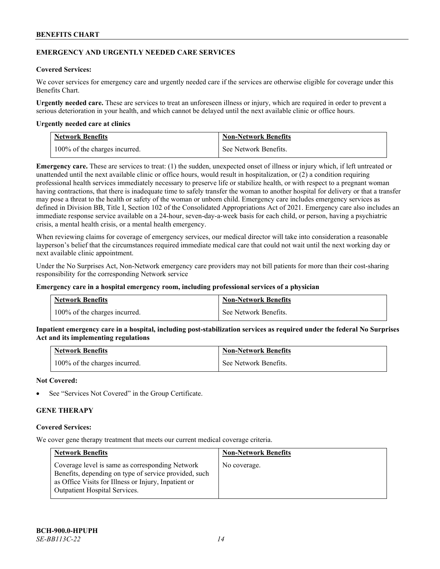### **EMERGENCY AND URGENTLY NEEDED CARE SERVICES**

### **Covered Services:**

We cover services for emergency care and urgently needed care if the services are otherwise eligible for coverage under this Benefits Chart.

**Urgently needed care.** These are services to treat an unforeseen illness or injury, which are required in order to prevent a serious deterioration in your health, and which cannot be delayed until the next available clinic or office hours.

#### **Urgently needed care at clinics**

| <b>Network Benefits</b>       | <b>Non-Network Benefits</b> |
|-------------------------------|-----------------------------|
| 100% of the charges incurred. | See Network Benefits.       |

**Emergency care.** These are services to treat: (1) the sudden, unexpected onset of illness or injury which, if left untreated or unattended until the next available clinic or office hours, would result in hospitalization, or (2) a condition requiring professional health services immediately necessary to preserve life or stabilize health, or with respect to a pregnant woman having contractions, that there is inadequate time to safely transfer the woman to another hospital for delivery or that a transfer may pose a threat to the health or safety of the woman or unborn child. Emergency care includes emergency services as defined in Division BB, Title I, Section 102 of the Consolidated Appropriations Act of 2021. Emergency care also includes an immediate response service available on a 24-hour, seven-day-a-week basis for each child, or person, having a psychiatric crisis, a mental health crisis, or a mental health emergency.

When reviewing claims for coverage of emergency services, our medical director will take into consideration a reasonable layperson's belief that the circumstances required immediate medical care that could not wait until the next working day or next available clinic appointment.

Under the No Surprises Act, Non-Network emergency care providers may not bill patients for more than their cost-sharing responsibility for the corresponding Network service

#### **Emergency care in a hospital emergency room, including professional services of a physician**

| <b>Network Benefits</b>       | <b>Non-Network Benefits</b> |
|-------------------------------|-----------------------------|
| 100% of the charges incurred. | See Network Benefits.       |

**Inpatient emergency care in a hospital, including post-stabilization services as required under the federal No Surprises Act and its implementing regulations**

| <b>Network Benefits</b>       | <b>Non-Network Benefits</b> |
|-------------------------------|-----------------------------|
| 100% of the charges incurred. | See Network Benefits.       |

### **Not Covered:**

See "Services Not Covered" in the Group Certificate.

# **GENE THERAPY**

#### **Covered Services:**

We cover gene therapy treatment that meets our current medical coverage criteria.

| <b>Network Benefits</b>                                                                                                                                                                                  | <b>Non-Network Benefits</b> |
|----------------------------------------------------------------------------------------------------------------------------------------------------------------------------------------------------------|-----------------------------|
| Coverage level is same as corresponding Network<br>Benefits, depending on type of service provided, such<br>as Office Visits for Illness or Injury, Inpatient or<br><b>Outpatient Hospital Services.</b> | No coverage.                |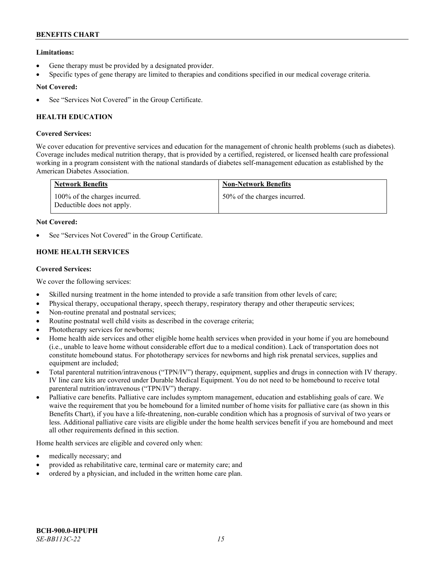# **Limitations:**

- Gene therapy must be provided by a designated provider.
- Specific types of gene therapy are limited to therapies and conditions specified in our medical coverage criteria.

# **Not Covered:**

See "Services Not Covered" in the Group Certificate.

# **HEALTH EDUCATION**

# **Covered Services:**

We cover education for preventive services and education for the management of chronic health problems (such as diabetes). Coverage includes medical nutrition therapy, that is provided by a certified, registered, or licensed health care professional working in a program consistent with the national standards of diabetes self-management education as established by the American Diabetes Association.

| <b>Network Benefits</b>                                     | <b>Non-Network Benefits</b>  |
|-------------------------------------------------------------|------------------------------|
| 100% of the charges incurred.<br>Deductible does not apply. | 50% of the charges incurred. |

# **Not Covered:**

See "Services Not Covered" in the Group Certificate.

# **HOME HEALTH SERVICES**

# **Covered Services:**

We cover the following services:

- Skilled nursing treatment in the home intended to provide a safe transition from other levels of care;
- Physical therapy, occupational therapy, speech therapy, respiratory therapy and other therapeutic services;
- Non-routine prenatal and postnatal services;
- Routine postnatal well child visits as described in the coverage criteria;
- Phototherapy services for newborns;
- Home health aide services and other eligible home health services when provided in your home if you are homebound (i.e., unable to leave home without considerable effort due to a medical condition). Lack of transportation does not constitute homebound status. For phototherapy services for newborns and high risk prenatal services, supplies and equipment are included;
- Total parenteral nutrition/intravenous ("TPN/IV") therapy, equipment, supplies and drugs in connection with IV therapy. IV line care kits are covered under Durable Medical Equipment. You do not need to be homebound to receive total parenteral nutrition/intravenous ("TPN/IV") therapy.
- Palliative care benefits. Palliative care includes symptom management, education and establishing goals of care. We waive the requirement that you be homebound for a limited number of home visits for palliative care (as shown in this Benefits Chart), if you have a life-threatening, non-curable condition which has a prognosis of survival of two years or less. Additional palliative care visits are eligible under the home health services benefit if you are homebound and meet all other requirements defined in this section.

Home health services are eligible and covered only when:

- medically necessary; and
- provided as rehabilitative care, terminal care or maternity care; and
- ordered by a physician, and included in the written home care plan.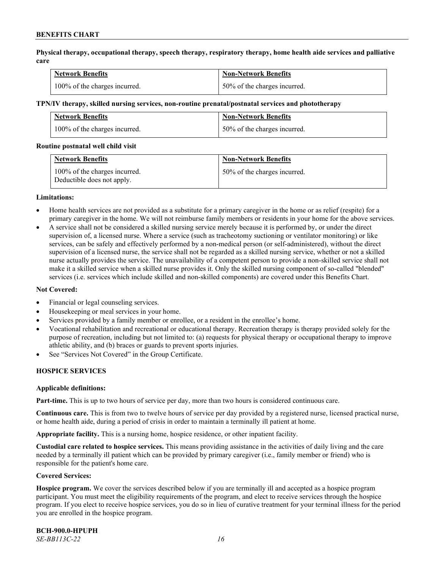**Physical therapy, occupational therapy, speech therapy, respiratory therapy, home health aide services and palliative care**

| <b>Network Benefits</b>       | <b>Non-Network Benefits</b>      |
|-------------------------------|----------------------------------|
| 100% of the charges incurred. | $150\%$ of the charges incurred. |

#### **TPN/IV therapy, skilled nursing services, non-routine prenatal/postnatal services and phototherapy**

| Network Benefits              | <b>Non-Network Benefits</b>  |
|-------------------------------|------------------------------|
| 100% of the charges incurred. | 50% of the charges incurred. |

#### **Routine postnatal well child visit**

| <b>Network Benefits</b>                                     | <b>Non-Network Benefits</b>  |
|-------------------------------------------------------------|------------------------------|
| 100% of the charges incurred.<br>Deductible does not apply. | 50% of the charges incurred. |

#### **Limitations:**

- Home health services are not provided as a substitute for a primary caregiver in the home or as relief (respite) for a primary caregiver in the home. We will not reimburse family members or residents in your home for the above services.
- A service shall not be considered a skilled nursing service merely because it is performed by, or under the direct supervision of, a licensed nurse. Where a service (such as tracheotomy suctioning or ventilator monitoring) or like services, can be safely and effectively performed by a non-medical person (or self-administered), without the direct supervision of a licensed nurse, the service shall not be regarded as a skilled nursing service, whether or not a skilled nurse actually provides the service. The unavailability of a competent person to provide a non-skilled service shall not make it a skilled service when a skilled nurse provides it. Only the skilled nursing component of so-called "blended" services (i.e. services which include skilled and non-skilled components) are covered under this Benefits Chart.

#### **Not Covered:**

- Financial or legal counseling services.
- Housekeeping or meal services in your home.
- Services provided by a family member or enrollee, or a resident in the enrollee's home.
- Vocational rehabilitation and recreational or educational therapy. Recreation therapy is therapy provided solely for the purpose of recreation, including but not limited to: (a) requests for physical therapy or occupational therapy to improve athletic ability, and (b) braces or guards to prevent sports injuries.
- See "Services Not Covered" in the Group Certificate.

# **HOSPICE SERVICES**

#### **Applicable definitions:**

**Part-time.** This is up to two hours of service per day, more than two hours is considered continuous care.

**Continuous care.** This is from two to twelve hours of service per day provided by a registered nurse, licensed practical nurse, or home health aide, during a period of crisis in order to maintain a terminally ill patient at home.

**Appropriate facility.** This is a nursing home, hospice residence, or other inpatient facility.

**Custodial care related to hospice services.** This means providing assistance in the activities of daily living and the care needed by a terminally ill patient which can be provided by primary caregiver (i.e., family member or friend) who is responsible for the patient's home care.

#### **Covered Services:**

**Hospice program.** We cover the services described below if you are terminally ill and accepted as a hospice program participant. You must meet the eligibility requirements of the program, and elect to receive services through the hospice program. If you elect to receive hospice services, you do so in lieu of curative treatment for your terminal illness for the period you are enrolled in the hospice program.

**BCH-900.0-HPUPH** *SE-BB113C-22 16*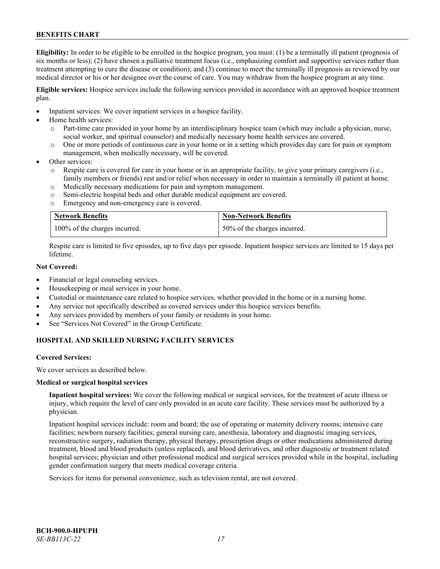**Eligibility:** In order to be eligible to be enrolled in the hospice program, you must: (1) be a terminally ill patient (prognosis of six months or less); (2) have chosen a palliative treatment focus (i.e., emphasizing comfort and supportive services rather than treatment attempting to cure the disease or condition); and (3) continue to meet the terminally ill prognosis as reviewed by our medical director or his or her designee over the course of care. You may withdraw from the hospice program at any time.

**Eligible services:** Hospice services include the following services provided in accordance with an approved hospice treatment plan.

- Inpatient services: We cover inpatient services in a hospice facility.
- Home health services:
	- o Part-time care provided in your home by an interdisciplinary hospice team (which may include a physician, nurse, social worker, and spiritual counselor) and medically necessary home health services are covered.
	- o One or more periods of continuous care in your home or in a setting which provides day care for pain or symptom management, when medically necessary, will be covered.
- Other services:
	- Respite care is covered for care in your home or in an appropriate facility, to give your primary caregivers (i.e., family members or friends) rest and/or relief when necessary in order to maintain a terminally ill patient at home.
	- o Medically necessary medications for pain and symptom management.
	- o Semi-electric hospital beds and other durable medical equipment are covered.
	- o Emergency and non-emergency care is covered.

| <b>Network Benefits</b>       | <b>Non-Network Benefits</b>  |
|-------------------------------|------------------------------|
| 100% of the charges incurred. | 50% of the charges incurred. |

Respite care is limited to five episodes, up to five days per episode. Inpatient hospice services are limited to 15 days per lifetime.

# **Not Covered:**

- Financial or legal counseling services.
- Housekeeping or meal services in your home.
- Custodial or maintenance care related to hospice services, whether provided in the home or in a nursing home.
- Any service not specifically described as covered services under this hospice services benefits.
- Any services provided by members of your family or residents in your home.
- See "Services Not Covered" in the Group Certificate.

# **HOSPITAL AND SKILLED NURSING FACILITY SERVICES**

#### **Covered Services:**

We cover services as described below.

#### **Medical or surgical hospital services**

**Inpatient hospital services:** We cover the following medical or surgical services, for the treatment of acute illness or injury, which require the level of care only provided in an acute care facility. These services must be authorized by a physician.

Inpatient hospital services include: room and board; the use of operating or maternity delivery rooms; intensive care facilities; newborn nursery facilities; general nursing care, anesthesia, laboratory and diagnostic imaging services, reconstructive surgery, radiation therapy, physical therapy, prescription drugs or other medications administered during treatment, blood and blood products (unless replaced), and blood derivatives, and other diagnostic or treatment related hospital services; physician and other professional medical and surgical services provided while in the hospital, including gender confirmation surgery that meets medical coverage criteria.

Services for items for personal convenience, such as television rental, are not covered.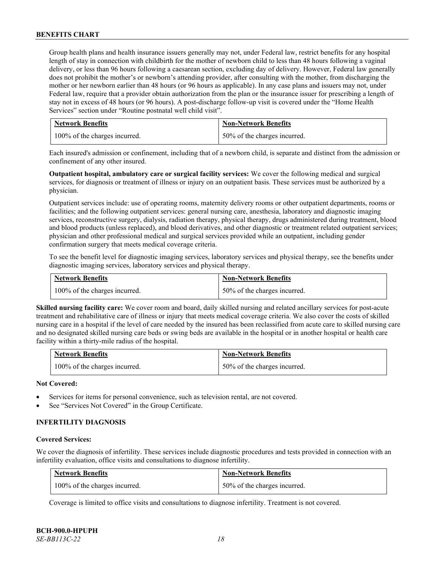Group health plans and health insurance issuers generally may not, under Federal law, restrict benefits for any hospital length of stay in connection with childbirth for the mother of newborn child to less than 48 hours following a vaginal delivery, or less than 96 hours following a caesarean section, excluding day of delivery. However, Federal law generally does not prohibit the mother's or newborn's attending provider, after consulting with the mother, from discharging the mother or her newborn earlier than 48 hours (or 96 hours as applicable). In any case plans and issuers may not, under Federal law, require that a provider obtain authorization from the plan or the insurance issuer for prescribing a length of stay not in excess of 48 hours (or 96 hours). A post-discharge follow-up visit is covered under the "Home Health Services" section under "Routine postnatal well child visit".

| <b>Network Benefits</b>       | <b>Non-Network Benefits</b>      |
|-------------------------------|----------------------------------|
| 100% of the charges incurred. | $150\%$ of the charges incurred. |

Each insured's admission or confinement, including that of a newborn child, is separate and distinct from the admission or confinement of any other insured.

**Outpatient hospital, ambulatory care or surgical facility services:** We cover the following medical and surgical services, for diagnosis or treatment of illness or injury on an outpatient basis. These services must be authorized by a physician.

Outpatient services include: use of operating rooms, maternity delivery rooms or other outpatient departments, rooms or facilities; and the following outpatient services: general nursing care, anesthesia, laboratory and diagnostic imaging services, reconstructive surgery, dialysis, radiation therapy, physical therapy, drugs administered during treatment, blood and blood products (unless replaced), and blood derivatives, and other diagnostic or treatment related outpatient services; physician and other professional medical and surgical services provided while an outpatient, including gender confirmation surgery that meets medical coverage criteria.

To see the benefit level for diagnostic imaging services, laboratory services and physical therapy, see the benefits under diagnostic imaging services, laboratory services and physical therapy.

| <b>Network Benefits</b>       | <b>Non-Network Benefits</b>  |
|-------------------------------|------------------------------|
| 100% of the charges incurred. | 50% of the charges incurred. |

**Skilled nursing facility care:** We cover room and board, daily skilled nursing and related ancillary services for post-acute treatment and rehabilitative care of illness or injury that meets medical coverage criteria. We also cover the costs of skilled nursing care in a hospital if the level of care needed by the insured has been reclassified from acute care to skilled nursing care and no designated skilled nursing care beds or swing beds are available in the hospital or in another hospital or health care facility within a thirty-mile radius of the hospital.

| Network Benefits              | <b>Non-Network Benefits</b>  |
|-------------------------------|------------------------------|
| 100% of the charges incurred. | 50% of the charges incurred. |

#### **Not Covered:**

- Services for items for personal convenience, such as television rental, are not covered.
- See "Services Not Covered" in the Group Certificate.

# **INFERTILITY DIAGNOSIS**

#### **Covered Services:**

We cover the diagnosis of infertility. These services include diagnostic procedures and tests provided in connection with an infertility evaluation, office visits and consultations to diagnose infertility.

| <b>Network Benefits</b>       | <b>Non-Network Benefits</b>  |
|-------------------------------|------------------------------|
| 100% of the charges incurred. | 50% of the charges incurred. |

Coverage is limited to office visits and consultations to diagnose infertility. Treatment is not covered.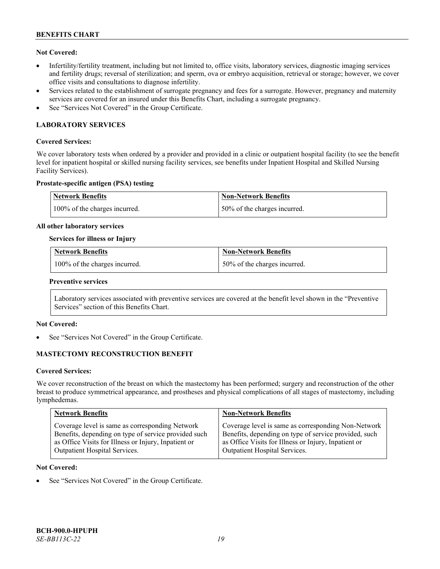# **Not Covered:**

- Infertility/fertility treatment, including but not limited to, office visits, laboratory services, diagnostic imaging services and fertility drugs; reversal of sterilization; and sperm, ova or embryo acquisition, retrieval or storage; however, we cover office visits and consultations to diagnose infertility.
- Services related to the establishment of surrogate pregnancy and fees for a surrogate. However, pregnancy and maternity services are covered for an insured under this Benefits Chart, including a surrogate pregnancy.
- See "Services Not Covered" in the Group Certificate.

# **LABORATORY SERVICES**

### **Covered Services:**

We cover laboratory tests when ordered by a provider and provided in a clinic or outpatient hospital facility (to see the benefit level for inpatient hospital or skilled nursing facility services, see benefits under Inpatient Hospital and Skilled Nursing Facility Services).

# **Prostate-specific antigen (PSA) testing**

| <b>Network Benefits</b>       | Non-Network Benefits         |
|-------------------------------|------------------------------|
| 100% of the charges incurred. | 50% of the charges incurred. |

#### **All other laboratory services**

#### **Services for illness or Injury**

| <b>Network Benefits</b>       | <b>Non-Network Benefits</b>  |
|-------------------------------|------------------------------|
| 100% of the charges incurred. | 50% of the charges incurred. |

#### **Preventive services**

Laboratory services associated with preventive services are covered at the benefit level shown in the "Preventive Services" section of this Benefits Chart.

# **Not Covered:**

See "Services Not Covered" in the Group Certificate.

# **MASTECTOMY RECONSTRUCTION BENEFIT**

#### **Covered Services:**

We cover reconstruction of the breast on which the mastectomy has been performed; surgery and reconstruction of the other breast to produce symmetrical appearance, and prostheses and physical complications of all stages of mastectomy, including lymphedemas.

| <b>Network Benefits</b>                              | <b>Non-Network Benefits</b>                           |
|------------------------------------------------------|-------------------------------------------------------|
| Coverage level is same as corresponding Network      | Coverage level is same as corresponding Non-Network   |
| Benefits, depending on type of service provided such | Benefits, depending on type of service provided, such |
| as Office Visits for Illness or Injury, Inpatient or | as Office Visits for Illness or Injury, Inpatient or  |
| Outpatient Hospital Services.                        | Outpatient Hospital Services.                         |

#### **Not Covered:**

See "Services Not Covered" in the Group Certificate.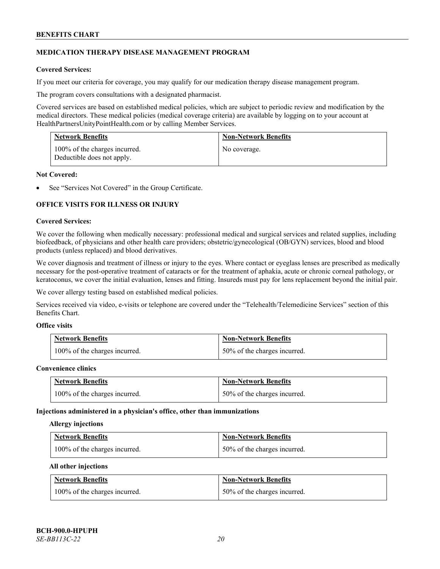# **MEDICATION THERAPY DISEASE MANAGEMENT PROGRAM**

# **Covered Services:**

If you meet our criteria for coverage, you may qualify for our medication therapy disease management program.

The program covers consultations with a designated pharmacist.

Covered services are based on established medical policies, which are subject to periodic review and modification by the medical directors. These medical policies (medical coverage criteria) are available by logging on to your account at [HealthPartnersUnityPointHealth.com](https://www.healthpartnersunitypointhealth.com/) or by calling Member Services.

| <b>Network Benefits</b>                                     | <b>Non-Network Benefits</b> |
|-------------------------------------------------------------|-----------------------------|
| 100% of the charges incurred.<br>Deductible does not apply. | No coverage.                |

### **Not Covered:**

See "Services Not Covered" in the Group Certificate.

# **OFFICE VISITS FOR ILLNESS OR INJURY**

#### **Covered Services:**

We cover the following when medically necessary: professional medical and surgical services and related supplies, including biofeedback, of physicians and other health care providers; obstetric/gynecological (OB/GYN) services, blood and blood products (unless replaced) and blood derivatives.

We cover diagnosis and treatment of illness or injury to the eyes. Where contact or eyeglass lenses are prescribed as medically necessary for the post-operative treatment of cataracts or for the treatment of aphakia, acute or chronic corneal pathology, or keratoconus, we cover the initial evaluation, lenses and fitting. Insureds must pay for lens replacement beyond the initial pair.

We cover allergy testing based on established medical policies.

Services received via video, e-visits or telephone are covered under the "Telehealth/Telemedicine Services" section of this Benefits Chart.

# **Office visits**

| <b>Network Benefits</b>       | <b>Non-Network Benefits</b>  |
|-------------------------------|------------------------------|
| 100% of the charges incurred. | 50% of the charges incurred. |

#### **Convenience clinics**

| <b>Network Benefits</b>       | <b>Non-Network Benefits</b>  |
|-------------------------------|------------------------------|
| 100% of the charges incurred. | 50% of the charges incurred. |

#### **Injections administered in a physician's office, other than immunizations**

#### **Allergy injections**

| <b>Network Benefits</b>       | <b>Non-Network Benefits</b>  |
|-------------------------------|------------------------------|
| 100% of the charges incurred. | 50% of the charges incurred. |

#### **All other injections**

| <b>Network Benefits</b>       | <b>Non-Network Benefits</b>  |
|-------------------------------|------------------------------|
| 100% of the charges incurred. | 50% of the charges incurred. |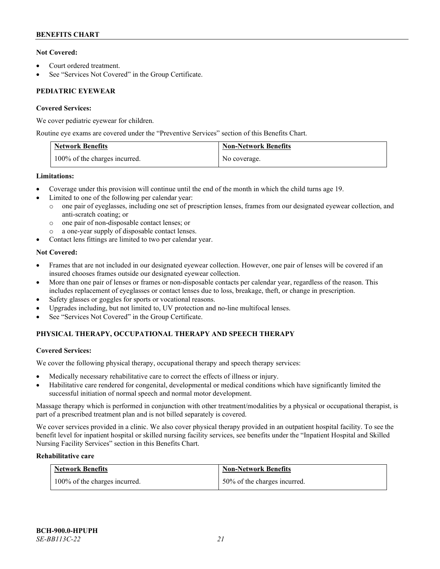# **Not Covered:**

- Court ordered treatment.
- See "Services Not Covered" in the Group Certificate.

# **PEDIATRIC EYEWEAR**

# **Covered Services:**

We cover pediatric eyewear for children.

Routine eye exams are covered under the "Preventive Services" section of this Benefits Chart.

| <b>Network Benefits</b>       | <b>Non-Network Benefits</b> |
|-------------------------------|-----------------------------|
| 100% of the charges incurred. | No coverage.                |

# **Limitations:**

- Coverage under this provision will continue until the end of the month in which the child turns age 19.
- Limited to one of the following per calendar year:
	- o one pair of eyeglasses, including one set of prescription lenses, frames from our designated eyewear collection, and anti-scratch coating; or
	- o one pair of non-disposable contact lenses; or
	- a one-year supply of disposable contact lenses.
- Contact lens fittings are limited to two per calendar year.

# **Not Covered:**

- Frames that are not included in our designated eyewear collection. However, one pair of lenses will be covered if an insured chooses frames outside our designated eyewear collection.
- More than one pair of lenses or frames or non-disposable contacts per calendar year, regardless of the reason. This includes replacement of eyeglasses or contact lenses due to loss, breakage, theft, or change in prescription.
- Safety glasses or goggles for sports or vocational reasons.
- Upgrades including, but not limited to, UV protection and no-line multifocal lenses.
- See "Services Not Covered" in the Group Certificate.

# **PHYSICAL THERAPY, OCCUPATIONAL THERAPY AND SPEECH THERAPY**

# **Covered Services:**

We cover the following physical therapy, occupational therapy and speech therapy services:

- Medically necessary rehabilitative care to correct the effects of illness or injury.
- Habilitative care rendered for congenital, developmental or medical conditions which have significantly limited the successful initiation of normal speech and normal motor development.

Massage therapy which is performed in conjunction with other treatment/modalities by a physical or occupational therapist, is part of a prescribed treatment plan and is not billed separately is covered.

We cover services provided in a clinic. We also cover physical therapy provided in an outpatient hospital facility. To see the benefit level for inpatient hospital or skilled nursing facility services, see benefits under the "Inpatient Hospital and Skilled Nursing Facility Services" section in this Benefits Chart.

# **Rehabilitative care**

| <b>Network Benefits</b>       | <b>Non-Network Benefits</b>  |
|-------------------------------|------------------------------|
| 100% of the charges incurred. | 50% of the charges incurred. |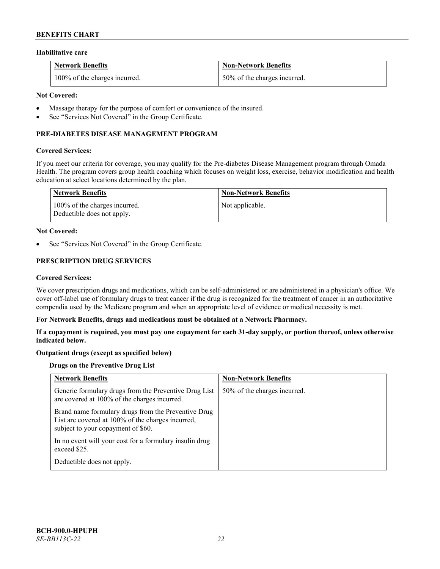#### **Habilitative care**

| <b>Network Benefits</b>       | <b>Non-Network Benefits</b>  |
|-------------------------------|------------------------------|
| 100% of the charges incurred. | 50% of the charges incurred. |

### **Not Covered:**

- Massage therapy for the purpose of comfort or convenience of the insured.
- See "Services Not Covered" in the Group Certificate.

# **PRE-DIABETES DISEASE MANAGEMENT PROGRAM**

#### **Covered Services:**

If you meet our criteria for coverage, you may qualify for the Pre-diabetes Disease Management program through Omada Health. The program covers group health coaching which focuses on weight loss, exercise, behavior modification and health education at select locations determined by the plan.

| Network Benefits                                            | <b>Non-Network Benefits</b> |
|-------------------------------------------------------------|-----------------------------|
| 100% of the charges incurred.<br>Deductible does not apply. | Not applicable.             |

#### **Not Covered:**

See "Services Not Covered" in the Group Certificate.

# **PRESCRIPTION DRUG SERVICES**

#### **Covered Services:**

We cover prescription drugs and medications, which can be self-administered or are administered in a physician's office. We cover off-label use of formulary drugs to treat cancer if the drug is recognized for the treatment of cancer in an authoritative compendia used by the Medicare program and when an appropriate level of evidence or medical necessity is met.

#### **For Network Benefits, drugs and medications must be obtained at a Network Pharmacy.**

**If a copayment is required, you must pay one copayment for each 31-day supply, or portion thereof, unless otherwise indicated below.**

# **Outpatient drugs (except as specified below)**

# **Drugs on the Preventive Drug List**

| <b>Network Benefits</b>                                                                                                                        | <b>Non-Network Benefits</b>  |
|------------------------------------------------------------------------------------------------------------------------------------------------|------------------------------|
| Generic formulary drugs from the Preventive Drug List<br>are covered at 100% of the charges incurred.                                          | 50% of the charges incurred. |
| Brand name formulary drugs from the Preventive Drug<br>List are covered at 100% of the charges incurred,<br>subject to your copayment of \$60. |                              |
| In no event will your cost for a formulary insulin drug<br>exceed \$25.                                                                        |                              |
| Deductible does not apply.                                                                                                                     |                              |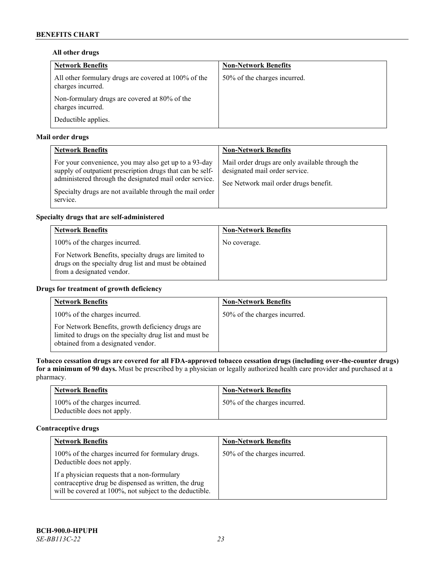# **All other drugs**

| <b>Network Benefits</b>                                                   | <b>Non-Network Benefits</b>  |
|---------------------------------------------------------------------------|------------------------------|
| All other formulary drugs are covered at 100% of the<br>charges incurred. | 50% of the charges incurred. |
| Non-formulary drugs are covered at 80% of the<br>charges incurred.        |                              |
| Deductible applies.                                                       |                              |

# **Mail order drugs**

| <b>Network Benefits</b>                                                                                                                                                                                                                               | <b>Non-Network Benefits</b>                                                                                                |
|-------------------------------------------------------------------------------------------------------------------------------------------------------------------------------------------------------------------------------------------------------|----------------------------------------------------------------------------------------------------------------------------|
| For your convenience, you may also get up to a 93-day<br>supply of outpatient prescription drugs that can be self-<br>administered through the designated mail order service.<br>Specialty drugs are not available through the mail order<br>service. | Mail order drugs are only available through the<br>designated mail order service.<br>See Network mail order drugs benefit. |

# **Specialty drugs that are self-administered**

| <b>Network Benefits</b>                                                                                                                    | <b>Non-Network Benefits</b> |
|--------------------------------------------------------------------------------------------------------------------------------------------|-----------------------------|
| 100% of the charges incurred.                                                                                                              | No coverage.                |
| For Network Benefits, specialty drugs are limited to<br>drugs on the specialty drug list and must be obtained<br>from a designated vendor. |                             |

# **Drugs for treatment of growth deficiency**

| <b>Network Benefits</b>                                                                                                                            | <b>Non-Network Benefits</b>  |
|----------------------------------------------------------------------------------------------------------------------------------------------------|------------------------------|
| 100% of the charges incurred.                                                                                                                      | 50% of the charges incurred. |
| For Network Benefits, growth deficiency drugs are<br>limited to drugs on the specialty drug list and must be<br>obtained from a designated vendor. |                              |

**Tobacco cessation drugs are covered for all FDA-approved tobacco cessation drugs (including over-the-counter drugs) for a minimum of 90 days.** Must be prescribed by a physician or legally authorized health care provider and purchased at a pharmacy.

| <b>Network Benefits</b>                                     | <b>Non-Network Benefits</b>  |
|-------------------------------------------------------------|------------------------------|
| 100% of the charges incurred.<br>Deductible does not apply. | 50% of the charges incurred. |

# **Contraceptive drugs**

| <b>Network Benefits</b>                                                                                                                                         | <b>Non-Network Benefits</b>  |
|-----------------------------------------------------------------------------------------------------------------------------------------------------------------|------------------------------|
| 100% of the charges incurred for formulary drugs.<br>Deductible does not apply.                                                                                 | 50% of the charges incurred. |
| If a physician requests that a non-formulary<br>contraceptive drug be dispensed as written, the drug<br>will be covered at 100%, not subject to the deductible. |                              |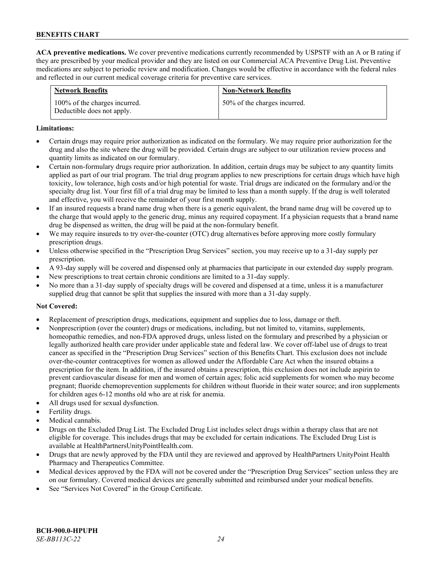**ACA preventive medications.** We cover preventive medications currently recommended by USPSTF with an A or B rating if they are prescribed by your medical provider and they are listed on our Commercial ACA Preventive Drug List. Preventive medications are subject to periodic review and modification. Changes would be effective in accordance with the federal rules and reflected in our current medical coverage criteria for preventive care services.

| <b>Network Benefits</b>                                     | <b>Non-Network Benefits</b>  |
|-------------------------------------------------------------|------------------------------|
| 100% of the charges incurred.<br>Deductible does not apply. | 50% of the charges incurred. |

### **Limitations:**

- Certain drugs may require prior authorization as indicated on the formulary. We may require prior authorization for the drug and also the site where the drug will be provided. Certain drugs are subject to our utilization review process and quantity limits as indicated on our formulary.
- Certain non-formulary drugs require prior authorization. In addition, certain drugs may be subject to any quantity limits applied as part of our trial program. The trial drug program applies to new prescriptions for certain drugs which have high toxicity, low tolerance, high costs and/or high potential for waste. Trial drugs are indicated on the formulary and/or the specialty drug list. Your first fill of a trial drug may be limited to less than a month supply. If the drug is well tolerated and effective, you will receive the remainder of your first month supply.
- If an insured requests a brand name drug when there is a generic equivalent, the brand name drug will be covered up to the charge that would apply to the generic drug, minus any required copayment. If a physician requests that a brand name drug be dispensed as written, the drug will be paid at the non-formulary benefit.
- We may require insureds to try over-the-counter (OTC) drug alternatives before approving more costly formulary prescription drugs.
- Unless otherwise specified in the "Prescription Drug Services" section, you may receive up to a 31-day supply per prescription.
- A 93-day supply will be covered and dispensed only at pharmacies that participate in our extended day supply program.
- New prescriptions to treat certain chronic conditions are limited to a 31-day supply.
- No more than a 31-day supply of specialty drugs will be covered and dispensed at a time, unless it is a manufacturer supplied drug that cannot be split that supplies the insured with more than a 31-day supply.

# **Not Covered:**

- Replacement of prescription drugs, medications, equipment and supplies due to loss, damage or theft.
- Nonprescription (over the counter) drugs or medications, including, but not limited to, vitamins, supplements, homeopathic remedies, and non-FDA approved drugs, unless listed on the formulary and prescribed by a physician or legally authorized health care provider under applicable state and federal law. We cover off-label use of drugs to treat cancer as specified in the "Prescription Drug Services" section of this Benefits Chart. This exclusion does not include over-the-counter contraceptives for women as allowed under the Affordable Care Act when the insured obtains a prescription for the item. In addition, if the insured obtains a prescription, this exclusion does not include aspirin to prevent cardiovascular disease for men and women of certain ages; folic acid supplements for women who may become pregnant; fluoride chemoprevention supplements for children without fluoride in their water source; and iron supplements for children ages 6-12 months old who are at risk for anemia.
- All drugs used for sexual dysfunction.
- Fertility drugs.
- Medical cannabis.
- Drugs on the Excluded Drug List. The Excluded Drug List includes select drugs within a therapy class that are not eligible for coverage. This includes drugs that may be excluded for certain indications. The Excluded Drug List is available a[t HealthPartnersUnityPointHealth.com.](https://www.healthpartnersunitypointhealth.com/)
- Drugs that are newly approved by the FDA until they are reviewed and approved by HealthPartners UnityPoint Health Pharmacy and Therapeutics Committee.
- Medical devices approved by the FDA will not be covered under the "Prescription Drug Services" section unless they are on our formulary. Covered medical devices are generally submitted and reimbursed under your medical benefits.
- See "Services Not Covered" in the Group Certificate.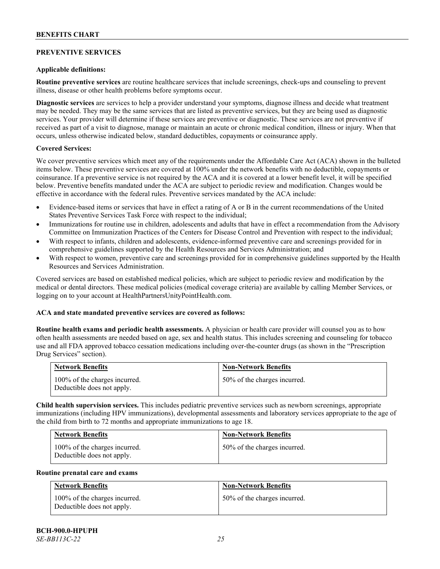# **PREVENTIVE SERVICES**

### **Applicable definitions:**

**Routine preventive services** are routine healthcare services that include screenings, check-ups and counseling to prevent illness, disease or other health problems before symptoms occur.

**Diagnostic services** are services to help a provider understand your symptoms, diagnose illness and decide what treatment may be needed. They may be the same services that are listed as preventive services, but they are being used as diagnostic services. Your provider will determine if these services are preventive or diagnostic. These services are not preventive if received as part of a visit to diagnose, manage or maintain an acute or chronic medical condition, illness or injury. When that occurs, unless otherwise indicated below, standard deductibles, copayments or coinsurance apply.

# **Covered Services:**

We cover preventive services which meet any of the requirements under the Affordable Care Act (ACA) shown in the bulleted items below. These preventive services are covered at 100% under the network benefits with no deductible, copayments or coinsurance. If a preventive service is not required by the ACA and it is covered at a lower benefit level, it will be specified below. Preventive benefits mandated under the ACA are subject to periodic review and modification. Changes would be effective in accordance with the federal rules. Preventive services mandated by the ACA include:

- Evidence-based items or services that have in effect a rating of A or B in the current recommendations of the United States Preventive Services Task Force with respect to the individual;
- Immunizations for routine use in children, adolescents and adults that have in effect a recommendation from the Advisory Committee on Immunization Practices of the Centers for Disease Control and Prevention with respect to the individual;
- With respect to infants, children and adolescents, evidence-informed preventive care and screenings provided for in comprehensive guidelines supported by the Health Resources and Services Administration; and
- With respect to women, preventive care and screenings provided for in comprehensive guidelines supported by the Health Resources and Services Administration.

Covered services are based on established medical policies, which are subject to periodic review and modification by the medical or dental directors. These medical policies (medical coverage criteria) are available by calling Member Services, or logging on to your account at [HealthPartnersUnityPointHealth.com.](https://www.healthpartnersunitypointhealth.com/)

# **ACA and state mandated preventive services are covered as follows:**

**Routine health exams and periodic health assessments.** A physician or health care provider will counsel you as to how often health assessments are needed based on age, sex and health status. This includes screening and counseling for tobacco use and all FDA approved tobacco cessation medications including over-the-counter drugs (as shown in the "Prescription Drug Services" section).

| <b>Network Benefits</b>                                     | <b>Non-Network Benefits</b>  |
|-------------------------------------------------------------|------------------------------|
| 100% of the charges incurred.<br>Deductible does not apply. | 50% of the charges incurred. |

**Child health supervision services.** This includes pediatric preventive services such as newborn screenings, appropriate immunizations (including HPV immunizations), developmental assessments and laboratory services appropriate to the age of the child from birth to 72 months and appropriate immunizations to age 18.

| <b>Network Benefits</b>                                     | <b>Non-Network Benefits</b>  |
|-------------------------------------------------------------|------------------------------|
| 100% of the charges incurred.<br>Deductible does not apply. | 50% of the charges incurred. |

#### **Routine prenatal care and exams**

| <b>Network Benefits</b>                                     | <b>Non-Network Benefits</b>  |
|-------------------------------------------------------------|------------------------------|
| 100% of the charges incurred.<br>Deductible does not apply. | 50% of the charges incurred. |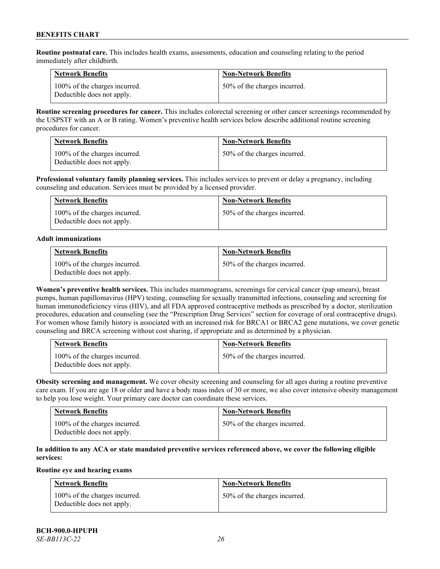**Routine postnatal care.** This includes health exams, assessments, education and counseling relating to the period immediately after childbirth.

| <b>Network Benefits</b>                                     | <b>Non-Network Benefits</b>  |
|-------------------------------------------------------------|------------------------------|
| 100% of the charges incurred.<br>Deductible does not apply. | 50% of the charges incurred. |

**Routine screening procedures for cancer.** This includes colorectal screening or other cancer screenings recommended by the USPSTF with an A or B rating. Women's preventive health services below describe additional routine screening procedures for cancer.

| <b>Network Benefits</b>                                     | <b>Non-Network Benefits</b>  |
|-------------------------------------------------------------|------------------------------|
| 100% of the charges incurred.<br>Deductible does not apply. | 50% of the charges incurred. |

**Professional voluntary family planning services.** This includes services to prevent or delay a pregnancy, including counseling and education. Services must be provided by a licensed provider.

| <b>Network Benefits</b>                                     | <b>Non-Network Benefits</b>  |
|-------------------------------------------------------------|------------------------------|
| 100% of the charges incurred.<br>Deductible does not apply. | 50% of the charges incurred. |

#### **Adult immunizations**

| <b>Network Benefits</b>                                     | <b>Non-Network Benefits</b>  |
|-------------------------------------------------------------|------------------------------|
| 100% of the charges incurred.<br>Deductible does not apply. | 50% of the charges incurred. |

**Women's preventive health services.** This includes mammograms, screenings for cervical cancer (pap smears), breast pumps, human papillomavirus (HPV) testing, counseling for sexually transmitted infections, counseling and screening for human immunodeficiency virus (HIV), and all FDA approved contraceptive methods as prescribed by a doctor, sterilization procedures, education and counseling (see the "Prescription Drug Services" section for coverage of oral contraceptive drugs). For women whose family history is associated with an increased risk for BRCA1 or BRCA2 gene mutations, we cover genetic counseling and BRCA screening without cost sharing, if appropriate and as determined by a physician.

| <b>Network Benefits</b>                                     | <b>Non-Network Benefits</b>  |
|-------------------------------------------------------------|------------------------------|
| 100% of the charges incurred.<br>Deductible does not apply. | 50% of the charges incurred. |

**Obesity screening and management.** We cover obesity screening and counseling for all ages during a routine preventive care exam. If you are age 18 or older and have a body mass index of 30 or more, we also cover intensive obesity management to help you lose weight. Your primary care doctor can coordinate these services.

| <b>Network Benefits</b>                                     | <b>Non-Network Benefits</b>  |
|-------------------------------------------------------------|------------------------------|
| 100% of the charges incurred.<br>Deductible does not apply. | 50% of the charges incurred. |

# **In addition to any ACA or state mandated preventive services referenced above, we cover the following eligible services:**

# **Routine eye and hearing exams**

| <b>Network Benefits</b>                                     | <b>Non-Network Benefits</b>  |
|-------------------------------------------------------------|------------------------------|
| 100% of the charges incurred.<br>Deductible does not apply. | 50% of the charges incurred. |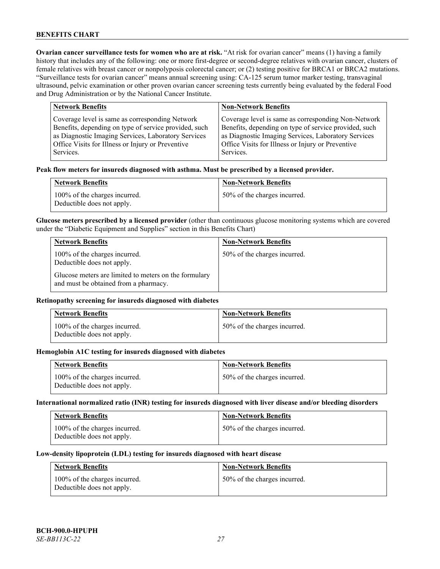**Ovarian cancer surveillance tests for women who are at risk. "At risk for ovarian cancer" means (1) having a family** history that includes any of the following: one or more first-degree or second-degree relatives with ovarian cancer, clusters of female relatives with breast cancer or nonpolyposis colorectal cancer; or (2) testing positive for BRCA1 or BRCA2 mutations. "Surveillance tests for ovarian cancer" means annual screening using: CA-125 serum tumor marker testing, transvaginal ultrasound, pelvic examination or other proven ovarian cancer screening tests currently being evaluated by the federal Food and Drug Administration or by the National Cancer Institute.

| <b>Network Benefits</b>                               | <b>Non-Network Benefits</b>                           |
|-------------------------------------------------------|-------------------------------------------------------|
| Coverage level is same as corresponding Network       | Coverage level is same as corresponding Non-Network   |
| Benefits, depending on type of service provided, such | Benefits, depending on type of service provided, such |
| as Diagnostic Imaging Services, Laboratory Services   | as Diagnostic Imaging Services, Laboratory Services   |
| Office Visits for Illness or Injury or Preventive     | Office Visits for Illness or Injury or Preventive     |
| Services.                                             | Services.                                             |

#### **Peak flow meters for insureds diagnosed with asthma. Must be prescribed by a licensed provider.**

| <b>Network Benefits</b>                                     | <b>Non-Network Benefits</b>  |
|-------------------------------------------------------------|------------------------------|
| 100% of the charges incurred.<br>Deductible does not apply. | 50% of the charges incurred. |

**Glucose meters prescribed by a licensed provider** (other than continuous glucose monitoring systems which are covered under the "Diabetic Equipment and Supplies" section in this Benefits Chart)

| <b>Network Benefits</b>                                                                        | <b>Non-Network Benefits</b>  |
|------------------------------------------------------------------------------------------------|------------------------------|
| 100% of the charges incurred.<br>Deductible does not apply.                                    | 50% of the charges incurred. |
| Glucose meters are limited to meters on the formulary<br>and must be obtained from a pharmacy. |                              |

### **Retinopathy screening for insureds diagnosed with diabetes**

| <b>Network Benefits</b>                                     | <b>Non-Network Benefits</b>  |
|-------------------------------------------------------------|------------------------------|
| 100% of the charges incurred.<br>Deductible does not apply. | 50% of the charges incurred. |

#### **Hemoglobin A1C testing for insureds diagnosed with diabetes**

| <b>Network Benefits</b>                                     | <b>Non-Network Benefits</b>  |
|-------------------------------------------------------------|------------------------------|
| 100% of the charges incurred.<br>Deductible does not apply. | 50% of the charges incurred. |

# **International normalized ratio (INR) testing for insureds diagnosed with liver disease and/or bleeding disorders**

| <b>Network Benefits</b>                                     | <b>Non-Network Benefits</b>  |
|-------------------------------------------------------------|------------------------------|
| 100% of the charges incurred.<br>Deductible does not apply. | 50% of the charges incurred. |

#### **Low-density lipoprotein (LDL) testing for insureds diagnosed with heart disease**

| <b>Network Benefits</b>                                     | <b>Non-Network Benefits</b>  |
|-------------------------------------------------------------|------------------------------|
| 100% of the charges incurred.<br>Deductible does not apply. | 50% of the charges incurred. |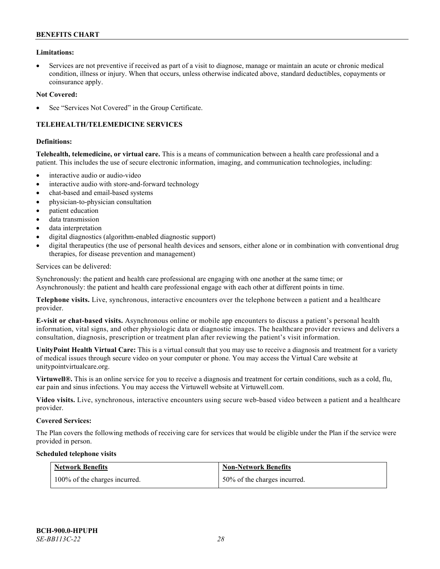### **Limitations:**

• Services are not preventive if received as part of a visit to diagnose, manage or maintain an acute or chronic medical condition, illness or injury. When that occurs, unless otherwise indicated above, standard deductibles, copayments or coinsurance apply.

#### **Not Covered:**

See "Services Not Covered" in the Group Certificate.

# **TELEHEALTH/TELEMEDICINE SERVICES**

#### **Definitions:**

**Telehealth, telemedicine, or virtual care.** This is a means of communication between a health care professional and a patient. This includes the use of secure electronic information, imaging, and communication technologies, including:

- interactive audio or audio-video
- interactive audio with store-and-forward technology
- chat-based and email-based systems
- physician-to-physician consultation
- patient education
- data transmission
- data interpretation
- digital diagnostics (algorithm-enabled diagnostic support)
- digital therapeutics (the use of personal health devices and sensors, either alone or in combination with conventional drug therapies, for disease prevention and management)

#### Services can be delivered:

Synchronously: the patient and health care professional are engaging with one another at the same time; or Asynchronously: the patient and health care professional engage with each other at different points in time.

**Telephone visits.** Live, synchronous, interactive encounters over the telephone between a patient and a healthcare provider.

**E-visit or chat-based visits.** Asynchronous online or mobile app encounters to discuss a patient's personal health information, vital signs, and other physiologic data or diagnostic images. The healthcare provider reviews and delivers a consultation, diagnosis, prescription or treatment plan after reviewing the patient's visit information.

**UnityPoint Health Virtual Care:** This is a virtual consult that you may use to receive a diagnosis and treatment for a variety of medical issues through secure video on your computer or phone. You may access the Virtual Care website at [unitypointvirtualcare.org.](https://unitypointvirtualcare.org/landing.htm)

**Virtuwell®.** This is an online service for you to receive a diagnosis and treatment for certain conditions, such as a cold, flu, ear pain and sinus infections. You may access the Virtuwell website at [Virtuwell.com.](https://www.virtuwell.com/)

**Video visits.** Live, synchronous, interactive encounters using secure web-based video between a patient and a healthcare provider.

#### **Covered Services:**

The Plan covers the following methods of receiving care for services that would be eligible under the Plan if the service were provided in person.

#### **Scheduled telephone visits**

| <b>Network Benefits</b>       | <b>Non-Network Benefits</b>  |
|-------------------------------|------------------------------|
| 100% of the charges incurred. | 50% of the charges incurred. |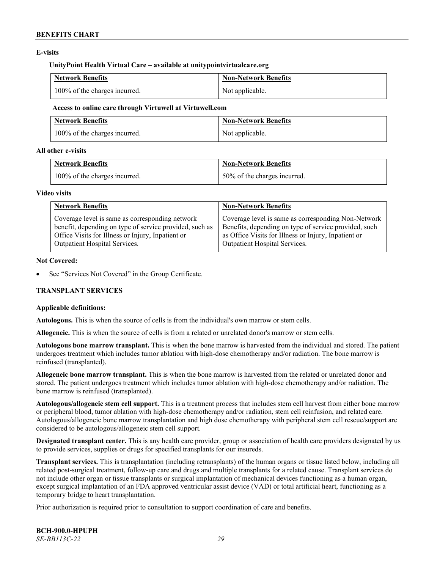# **E-visits**

#### **UnityPoint Health Virtual Care – available at [unitypointvirtualcare.org](http://www.unitypointvirtualcare.org/)**

| <b>Network Benefits</b>       | Non-Network Benefits |
|-------------------------------|----------------------|
| 100% of the charges incurred. | Not applicable.      |

#### **Access to online care through Virtuwell at [Virtuwell.com](http://www.virtuwell.com/)**

| <b>Network Benefits</b>       | Non-Network Benefits |
|-------------------------------|----------------------|
| 100% of the charges incurred. | Not applicable.      |

### **All other e-visits**

| <b>Network Benefits</b>       | Non-Network Benefits         |
|-------------------------------|------------------------------|
| 100% of the charges incurred. | 50% of the charges incurred. |

### **Video visits**

| <b>Network Benefits</b>                                 | <b>Non-Network Benefits</b>                           |
|---------------------------------------------------------|-------------------------------------------------------|
| Coverage level is same as corresponding network         | Coverage level is same as corresponding Non-Network   |
| benefit, depending on type of service provided, such as | Benefits, depending on type of service provided, such |
| Office Visits for Illness or Injury, Inpatient or       | as Office Visits for Illness or Injury, Inpatient or  |
| Outpatient Hospital Services.                           | Outpatient Hospital Services.                         |

### **Not Covered:**

See "Services Not Covered" in the Group Certificate.

# **TRANSPLANT SERVICES**

# **Applicable definitions:**

**Autologous.** This is when the source of cells is from the individual's own marrow or stem cells.

**Allogeneic.** This is when the source of cells is from a related or unrelated donor's marrow or stem cells.

**Autologous bone marrow transplant.** This is when the bone marrow is harvested from the individual and stored. The patient undergoes treatment which includes tumor ablation with high-dose chemotherapy and/or radiation. The bone marrow is reinfused (transplanted).

**Allogeneic bone marrow transplant.** This is when the bone marrow is harvested from the related or unrelated donor and stored. The patient undergoes treatment which includes tumor ablation with high-dose chemotherapy and/or radiation. The bone marrow is reinfused (transplanted).

**Autologous/allogeneic stem cell support.** This is a treatment process that includes stem cell harvest from either bone marrow or peripheral blood, tumor ablation with high-dose chemotherapy and/or radiation, stem cell reinfusion, and related care. Autologous/allogeneic bone marrow transplantation and high dose chemotherapy with peripheral stem cell rescue/support are considered to be autologous/allogeneic stem cell support.

**Designated transplant center.** This is any health care provider, group or association of health care providers designated by us to provide services, supplies or drugs for specified transplants for our insureds.

**Transplant services.** This is transplantation (including retransplants) of the human organs or tissue listed below, including all related post-surgical treatment, follow-up care and drugs and multiple transplants for a related cause. Transplant services do not include other organ or tissue transplants or surgical implantation of mechanical devices functioning as a human organ, except surgical implantation of an FDA approved ventricular assist device (VAD) or total artificial heart, functioning as a temporary bridge to heart transplantation.

Prior authorization is required prior to consultation to support coordination of care and benefits.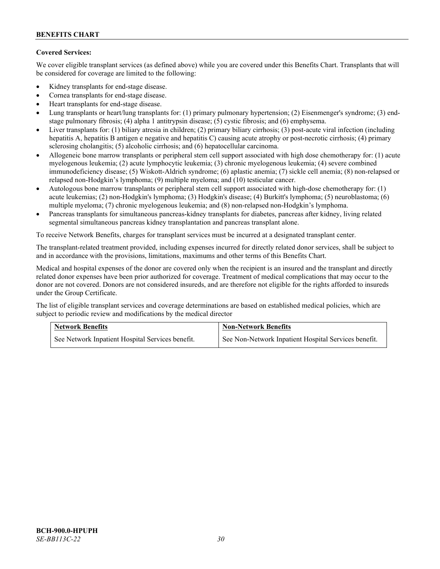# **Covered Services:**

We cover eligible transplant services (as defined above) while you are covered under this Benefits Chart. Transplants that will be considered for coverage are limited to the following:

- Kidney transplants for end-stage disease.
- Cornea transplants for end-stage disease.
- Heart transplants for end-stage disease.
- Lung transplants or heart/lung transplants for: (1) primary pulmonary hypertension; (2) Eisenmenger's syndrome; (3) endstage pulmonary fibrosis; (4) alpha 1 antitrypsin disease; (5) cystic fibrosis; and (6) emphysema.
- Liver transplants for: (1) biliary atresia in children; (2) primary biliary cirrhosis; (3) post-acute viral infection (including hepatitis A, hepatitis B antigen e negative and hepatitis C) causing acute atrophy or post-necrotic cirrhosis; (4) primary sclerosing cholangitis; (5) alcoholic cirrhosis; and (6) hepatocellular carcinoma.
- Allogeneic bone marrow transplants or peripheral stem cell support associated with high dose chemotherapy for: (1) acute myelogenous leukemia; (2) acute lymphocytic leukemia; (3) chronic myelogenous leukemia; (4) severe combined immunodeficiency disease; (5) Wiskott-Aldrich syndrome; (6) aplastic anemia; (7) sickle cell anemia; (8) non-relapsed or relapsed non-Hodgkin's lymphoma; (9) multiple myeloma; and (10) testicular cancer.
- Autologous bone marrow transplants or peripheral stem cell support associated with high-dose chemotherapy for: (1) acute leukemias; (2) non-Hodgkin's lymphoma; (3) Hodgkin's disease; (4) Burkitt's lymphoma; (5) neuroblastoma; (6) multiple myeloma; (7) chronic myelogenous leukemia; and (8) non-relapsed non-Hodgkin's lymphoma.
- Pancreas transplants for simultaneous pancreas-kidney transplants for diabetes, pancreas after kidney, living related segmental simultaneous pancreas kidney transplantation and pancreas transplant alone.

To receive Network Benefits, charges for transplant services must be incurred at a designated transplant center.

The transplant-related treatment provided, including expenses incurred for directly related donor services, shall be subject to and in accordance with the provisions, limitations, maximums and other terms of this Benefits Chart.

Medical and hospital expenses of the donor are covered only when the recipient is an insured and the transplant and directly related donor expenses have been prior authorized for coverage. Treatment of medical complications that may occur to the donor are not covered. Donors are not considered insureds, and are therefore not eligible for the rights afforded to insureds under the Group Certificate.

The list of eligible transplant services and coverage determinations are based on established medical policies, which are subject to periodic review and modifications by the medical director

| <b>Network Benefits</b>                          | <b>Non-Network Benefits</b>                          |  |
|--------------------------------------------------|------------------------------------------------------|--|
| See Network Inpatient Hospital Services benefit. | See Non-Network Inpatient Hospital Services benefit. |  |